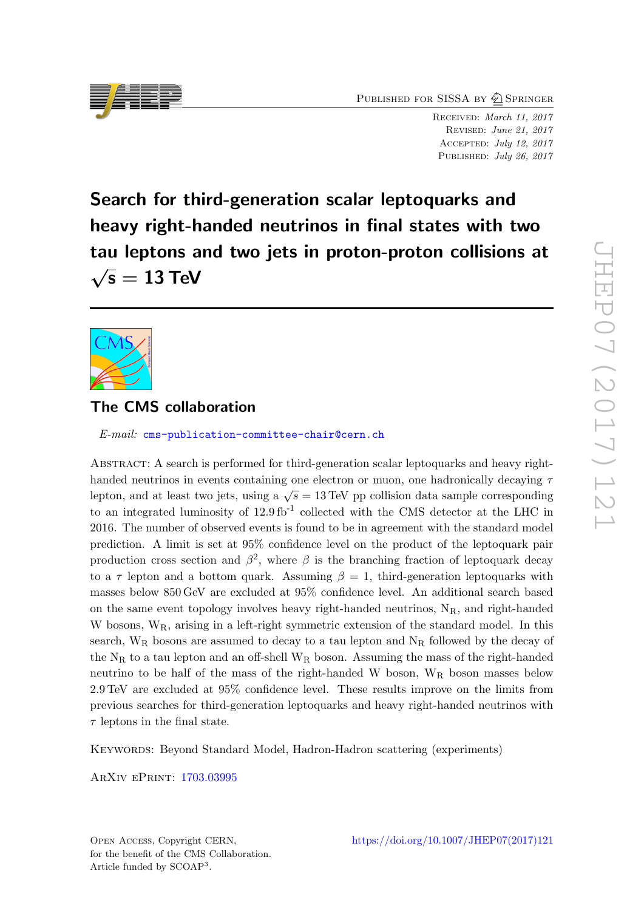PUBLISHED FOR SISSA BY 2 SPRINGER

Received: March 11, 2017 Revised: June 21, 2017 Accepted: July 12, 2017 PUBLISHED: July 26, 2017

Search for third-generation scalar leptoquarks and heavy right-handed neutrinos in final states with two tau leptons and two jets in proton-proton collisions at √  $\overline{\mathsf{s}}=13$  TeV



## The CMS collaboration

E-mail: [cms-publication-committee-chair@cern.ch](mailto:cms-publication-committee-chair@cern.ch)

Abstract: A search is performed for third-generation scalar leptoquarks and heavy righthanded neutrinos in events containing one electron or muon, one hadronically decaying  $\tau$ lepton, and at least two jets, using a  $\sqrt{s} = 13 \text{ TeV}$  pp collision data sample corresponding to an integrated luminosity of  $12.9 \text{ fb}^{-1}$  collected with the CMS detector at the LHC in 2016. The number of observed events is found to be in agreement with the standard model prediction. A limit is set at 95% confidence level on the product of the leptoquark pair production cross section and  $\beta^2$ , where  $\beta$  is the branching fraction of leptoquark decay to a  $\tau$  lepton and a bottom quark. Assuming  $\beta = 1$ , third-generation leptoquarks with masses below 850 GeV are excluded at 95% confidence level. An additional search based on the same event topology involves heavy right-handed neutrinos,  $N_R$ , and right-handed W bosons,  $W_R$ , arising in a left-right symmetric extension of the standard model. In this search,  $W_R$  bosons are assumed to decay to a tau lepton and  $N_R$  followed by the decay of the  $N_R$  to a tau lepton and an off-shell  $W_R$  boson. Assuming the mass of the right-handed neutrino to be half of the mass of the right-handed W boson,  $W_R$  boson masses below 2.9 TeV are excluded at 95% confidence level. These results improve on the limits from previous searches for third-generation leptoquarks and heavy right-handed neutrinos with  $\tau$  leptons in the final state.

Keywords: Beyond Standard Model, Hadron-Hadron scattering (experiments)

ArXiv ePrint: [1703.03995](https://arxiv.org/abs/1703.03995)

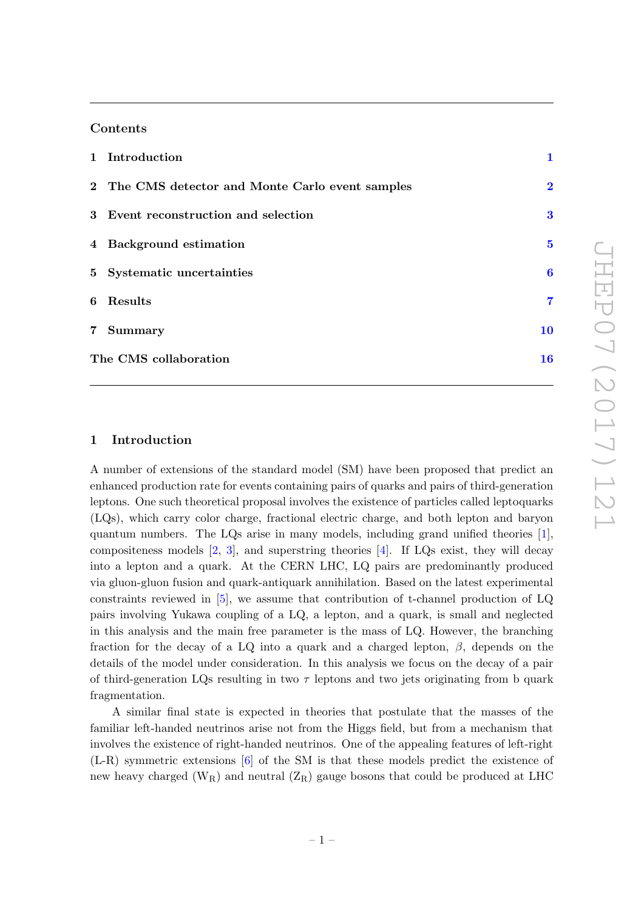### Contents

|                       | 1 Introduction                                   | 1              |
|-----------------------|--------------------------------------------------|----------------|
|                       | 2 The CMS detector and Monte Carlo event samples | $\bf{2}$       |
|                       | 3 Event reconstruction and selection             | $\bf{3}$       |
|                       | 4 Background estimation                          | 5              |
|                       | 5 Systematic uncertainties                       | 6              |
|                       | 6 Results                                        | $\overline{7}$ |
| 7 <sup>7</sup>        | Summary                                          | 10             |
| The CMS collaboration |                                                  | 16             |

## <span id="page-1-0"></span>1 Introduction

A number of extensions of the standard model (SM) have been proposed that predict an enhanced production rate for events containing pairs of quarks and pairs of third-generation leptons. One such theoretical proposal involves the existence of particles called leptoquarks (LQs), which carry color charge, fractional electric charge, and both lepton and baryon quantum numbers. The LQs arise in many models, including grand unified theories [\[1\]](#page-12-0), compositeness models  $[2, 3]$  $[2, 3]$  $[2, 3]$ , and superstring theories  $[4]$ . If LQs exist, they will decay into a lepton and a quark. At the CERN LHC, LQ pairs are predominantly produced via gluon-gluon fusion and quark-antiquark annihilation. Based on the latest experimental constraints reviewed in [\[5\]](#page-12-4), we assume that contribution of t-channel production of LQ pairs involving Yukawa coupling of a LQ, a lepton, and a quark, is small and neglected in this analysis and the main free parameter is the mass of LQ. However, the branching fraction for the decay of a LQ into a quark and a charged lepton,  $\beta$ , depends on the details of the model under consideration. In this analysis we focus on the decay of a pair of third-generation LQs resulting in two  $\tau$  leptons and two jets originating from b quark fragmentation.

A similar final state is expected in theories that postulate that the masses of the familiar left-handed neutrinos arise not from the Higgs field, but from a mechanism that involves the existence of right-handed neutrinos. One of the appealing features of left-right (L-R) symmetric extensions [\[6\]](#page-12-5) of the SM is that these models predict the existence of new heavy charged  $(W_R)$  and neutral  $(Z_R)$  gauge bosons that could be produced at LHC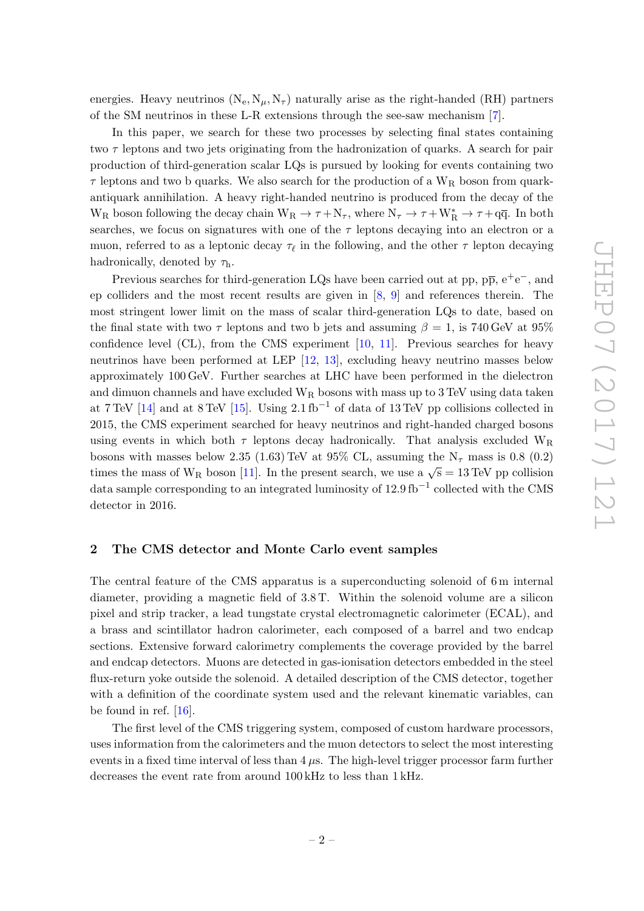energies. Heavy neutrinos  $(N_e, N_\mu, N_\tau)$  naturally arise as the right-handed (RH) partners of the SM neutrinos in these L-R extensions through the see-saw mechanism [\[7\]](#page-12-6).

In this paper, we search for these two processes by selecting final states containing two  $\tau$  leptons and two jets originating from the hadronization of quarks. A search for pair production of third-generation scalar LQs is pursued by looking for events containing two  $\tau$  leptons and two b quarks. We also search for the production of a  $W_R$  boson from quarkantiquark annihilation. A heavy right-handed neutrino is produced from the decay of the W<sub>R</sub> boson following the decay chain  $W_R \to \tau + N_{\tau}$ , where  $N_{\tau} \to \tau + W_R^* \to \tau + q\overline{q}$ . In both searches, we focus on signatures with one of the  $\tau$  leptons decaying into an electron or a muon, referred to as a leptonic decay  $\tau_{\ell}$  in the following, and the other  $\tau$  lepton decaying hadronically, denoted by  $\tau_h$ .

Previous searches for third-generation LQs have been carried out at pp,  $p\bar{p}$ ,  $e^+e^-$ , and ep colliders and the most recent results are given in [\[8,](#page-12-7) [9\]](#page-12-8) and references therein. The most stringent lower limit on the mass of scalar third-generation LQs to date, based on the final state with two  $\tau$  leptons and two b jets and assuming  $\beta = 1$ , is 740 GeV at 95% confidence level (CL), from the CMS experiment [\[10,](#page-13-0) [11\]](#page-13-1). Previous searches for heavy neutrinos have been performed at LEP [\[12,](#page-13-2) [13\]](#page-13-3), excluding heavy neutrino masses below approximately 100 GeV. Further searches at LHC have been performed in the dielectron and dimuon channels and have excluded  $W_R$  bosons with mass up to  $3 \text{ TeV}$  using data taken at 7 TeV [\[14\]](#page-13-4) and at 8 TeV [\[15\]](#page-13-5). Using  $2.1 \text{ fb}^{-1}$  of data of 13 TeV pp collisions collected in 2015, the CMS experiment searched for heavy neutrinos and right-handed charged bosons using events in which both  $\tau$  leptons decay hadronically. That analysis excluded W<sub>R</sub> bosons with masses below 2.35 (1.63) TeV at 95% CL, assuming the  $N<sub>\tau</sub>$  mass is 0.8 (0.2) times the mass of W<sub>R</sub> boson [\[11\]](#page-13-1). In the present search, we use a  $\sqrt{s} = 13$  TeV pp collision data sample corresponding to an integrated luminosity of 12.9 fb<sup>-1</sup> collected with the CMS detector in 2016.

## <span id="page-2-0"></span>2 The CMS detector and Monte Carlo event samples

The central feature of the CMS apparatus is a superconducting solenoid of 6 m internal diameter, providing a magnetic field of 3.8 T. Within the solenoid volume are a silicon pixel and strip tracker, a lead tungstate crystal electromagnetic calorimeter (ECAL), and a brass and scintillator hadron calorimeter, each composed of a barrel and two endcap sections. Extensive forward calorimetry complements the coverage provided by the barrel and endcap detectors. Muons are detected in gas-ionisation detectors embedded in the steel flux-return yoke outside the solenoid. A detailed description of the CMS detector, together with a definition of the coordinate system used and the relevant kinematic variables, can be found in ref. [\[16\]](#page-13-6).

The first level of the CMS triggering system, composed of custom hardware processors, uses information from the calorimeters and the muon detectors to select the most interesting events in a fixed time interval of less than  $4 \mu s$ . The high-level trigger processor farm further decreases the event rate from around 100 kHz to less than 1 kHz.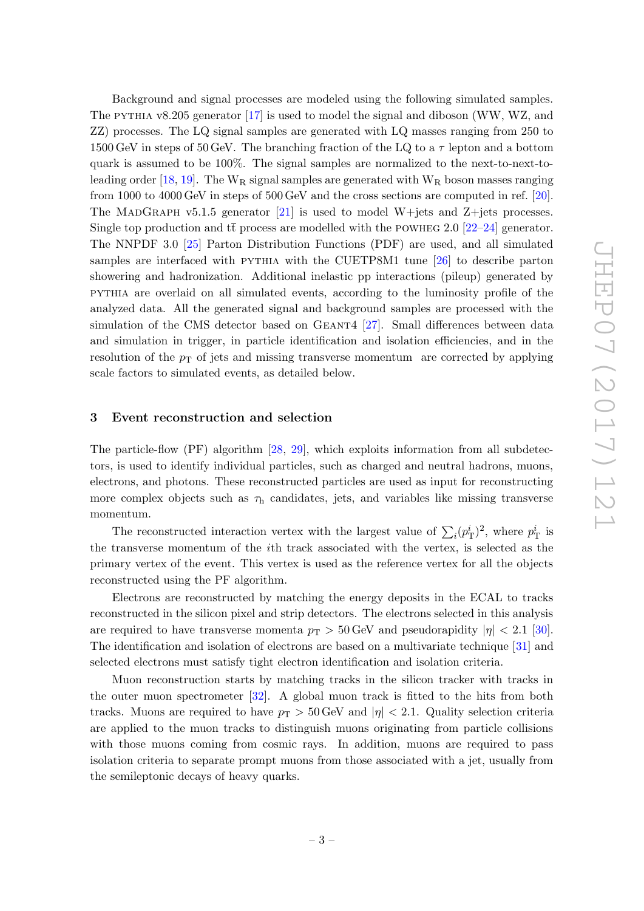Background and signal processes are modeled using the following simulated samples. The pythia v8.205 generator [\[17\]](#page-13-7) is used to model the signal and diboson (WW, WZ, and ZZ) processes. The LQ signal samples are generated with LQ masses ranging from 250 to 1500 GeV in steps of 50 GeV. The branching fraction of the LQ to a  $\tau$  lepton and a bottom quark is assumed to be 100%. The signal samples are normalized to the next-to-next-toleading order  $[18, 19]$  $[18, 19]$  $[18, 19]$ . The W<sub>R</sub> signal samples are generated with W<sub>R</sub> boson masses ranging from 1000 to 4000 GeV in steps of 500 GeV and the cross sections are computed in ref. [\[20\]](#page-13-10). The MADGRAPH v5.1.5 generator [\[21\]](#page-13-11) is used to model W+jets and Z+jets processes. Single top production and  $t\bar{t}$  process are modelled with the POWHEG 2.0 [\[22](#page-13-12)[–24\]](#page-13-13) generator. The NNPDF 3.0 [\[25\]](#page-13-14) Parton Distribution Functions (PDF) are used, and all simulated samples are interfaced with PYTHIA with the CUETP8M1 tune [\[26\]](#page-13-15) to describe parton showering and hadronization. Additional inelastic pp interactions (pileup) generated by pythia are overlaid on all simulated events, according to the luminosity profile of the analyzed data. All the generated signal and background samples are processed with the simulation of the CMS detector based on Geant4 [\[27\]](#page-13-16). Small differences between data and simulation in trigger, in particle identification and isolation efficiencies, and in the resolution of the  $p<sub>T</sub>$  of jets and missing transverse momentum are corrected by applying scale factors to simulated events, as detailed below.

#### <span id="page-3-0"></span>3 Event reconstruction and selection

The particle-flow (PF) algorithm [\[28,](#page-14-0) [29\]](#page-14-1), which exploits information from all subdetectors, is used to identify individual particles, such as charged and neutral hadrons, muons, electrons, and photons. These reconstructed particles are used as input for reconstructing more complex objects such as  $\tau_h$  candidates, jets, and variables like missing transverse momentum.

The reconstructed interaction vertex with the largest value of  $\sum_i (p_{\rm T}^i)^2$ , where  $p_{\rm T}^i$  is the transverse momentum of the ith track associated with the vertex, is selected as the primary vertex of the event. This vertex is used as the reference vertex for all the objects reconstructed using the PF algorithm.

Electrons are reconstructed by matching the energy deposits in the ECAL to tracks reconstructed in the silicon pixel and strip detectors. The electrons selected in this analysis are required to have transverse momenta  $p_T > 50$  GeV and pseudorapidity  $|\eta| < 2.1$  [\[30\]](#page-14-2). The identification and isolation of electrons are based on a multivariate technique [\[31\]](#page-14-3) and selected electrons must satisfy tight electron identification and isolation criteria.

Muon reconstruction starts by matching tracks in the silicon tracker with tracks in the outer muon spectrometer [\[32\]](#page-14-4). A global muon track is fitted to the hits from both tracks. Muons are required to have  $p_T > 50$  GeV and  $|\eta| < 2.1$ . Quality selection criteria are applied to the muon tracks to distinguish muons originating from particle collisions with those muons coming from cosmic rays. In addition, muons are required to pass isolation criteria to separate prompt muons from those associated with a jet, usually from the semileptonic decays of heavy quarks.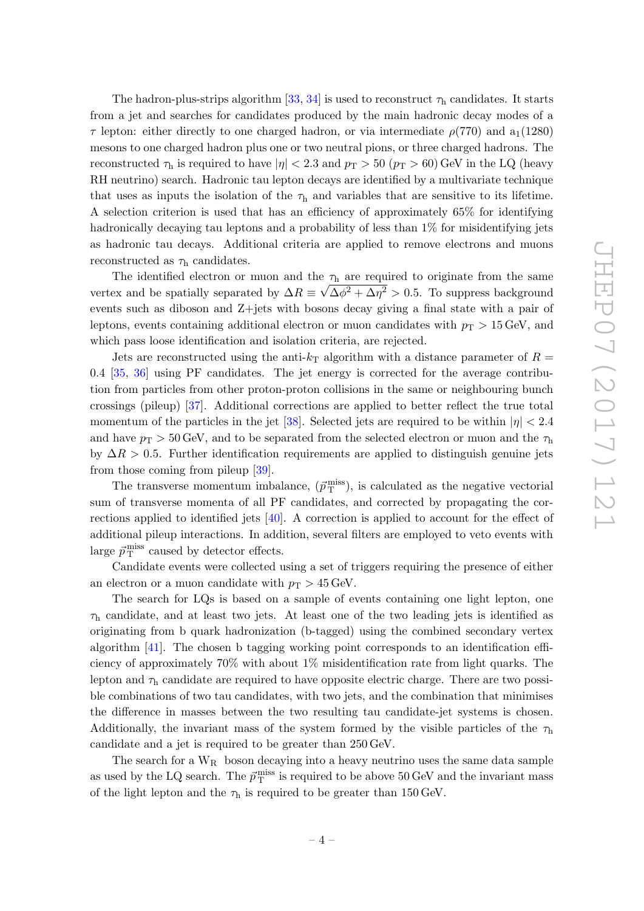The hadron-plus-strips algorithm [\[33,](#page-14-5) [34\]](#page-14-6) is used to reconstruct  $\tau_h$  candidates. It starts from a jet and searches for candidates produced by the main hadronic decay modes of a  $\tau$  lepton: either directly to one charged hadron, or via intermediate  $\rho(770)$  and  $a_1(1280)$ mesons to one charged hadron plus one or two neutral pions, or three charged hadrons. The reconstructed  $\tau_{\rm h}$  is required to have  $|\eta| < 2.3$  and  $p_{\rm T} > 50$  ( $p_{\rm T} > 60$ ) GeV in the LQ (heavy RH neutrino) search. Hadronic tau lepton decays are identified by a multivariate technique that uses as inputs the isolation of the  $\tau<sub>h</sub>$  and variables that are sensitive to its lifetime. A selection criterion is used that has an efficiency of approximately 65% for identifying hadronically decaying tau leptons and a probability of less than  $1\%$  for misidentifying jets as hadronic tau decays. Additional criteria are applied to remove electrons and muons reconstructed as  $\tau_h$  candidates.

The identified electron or muon and the  $\tau_{h}$  are required to originate from the same vertex and be spatially separated by  $\Delta R \equiv \sqrt{\Delta \phi^2 + \Delta \eta^2} > 0.5$ . To suppress background events such as diboson and Z+jets with bosons decay giving a final state with a pair of leptons, events containing additional electron or muon candidates with  $p_T > 15$  GeV, and which pass loose identification and isolation criteria, are rejected.

Jets are reconstructed using the anti- $k<sub>T</sub>$  algorithm with a distance parameter of  $R =$ 0.4 [\[35,](#page-14-7) [36\]](#page-14-8) using PF candidates. The jet energy is corrected for the average contribution from particles from other proton-proton collisions in the same or neighbouring bunch crossings (pileup) [\[37\]](#page-14-9). Additional corrections are applied to better reflect the true total momentum of the particles in the jet [\[38\]](#page-14-10). Selected jets are required to be within  $|\eta| < 2.4$ and have  $p_T > 50$  GeV, and to be separated from the selected electron or muon and the  $\tau_h$ by  $\Delta R > 0.5$ . Further identification requirements are applied to distinguish genuine jets from those coming from pileup [\[39\]](#page-14-11).

The transverse momentum imbalance,  $(\vec{p}_{\text{T}}^{\text{miss}})$ , is calculated as the negative vectorial sum of transverse momenta of all PF candidates, and corrected by propagating the corrections applied to identified jets [\[40\]](#page-14-12). A correction is applied to account for the effect of additional pileup interactions. In addition, several filters are employed to veto events with large  $\vec{p}_{\rm T}^{\rm miss}$  caused by detector effects.

Candidate events were collected using a set of triggers requiring the presence of either an electron or a muon candidate with  $p_T > 45 \,\text{GeV}$ .

The search for LQs is based on a sample of events containing one light lepton, one  $\tau_{\rm h}$  candidate, and at least two jets. At least one of the two leading jets is identified as originating from b quark hadronization (b-tagged) using the combined secondary vertex algorithm [\[41\]](#page-14-13). The chosen b tagging working point corresponds to an identification efficiency of approximately 70% with about 1% misidentification rate from light quarks. The lepton and  $\tau_{\rm h}$  candidate are required to have opposite electric charge. There are two possible combinations of two tau candidates, with two jets, and the combination that minimises the difference in masses between the two resulting tau candidate-jet systems is chosen. Additionally, the invariant mass of the system formed by the visible particles of the  $\tau<sub>h</sub>$ candidate and a jet is required to be greater than 250 GeV.

The search for a  $W_R$  boson decaying into a heavy neutrino uses the same data sample as used by the LQ search. The  $\vec{p}_{\rm T}^{\rm miss}$  is required to be above 50 GeV and the invariant mass of the light lepton and the  $\tau_h$  is required to be greater than 150 GeV.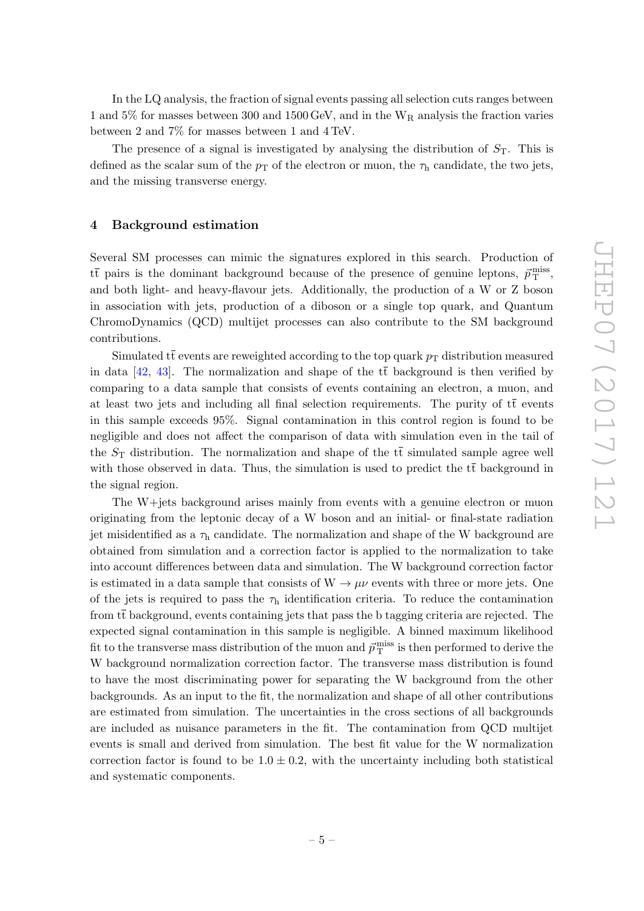In the LQ analysis, the fraction of signal events passing all selection cuts ranges between 1 and 5% for masses between 300 and 1500 GeV, and in the  $W_R$  analysis the fraction varies between 2 and 7% for masses between 1 and 4 TeV.

The presence of a signal is investigated by analysing the distribution of  $S_T$ . This is defined as the scalar sum of the  $p_T$  of the electron or muon, the  $\tau_h$  candidate, the two jets, and the missing transverse energy.

### <span id="page-5-0"></span>4 Background estimation

Several SM processes can mimic the signatures explored in this search. Production of  $t\bar{t}$  pairs is the dominant background because of the presence of genuine leptons,  $\vec{p}_{\rm T}^{\rm miss}$ , and both light- and heavy-flavour jets. Additionally, the production of a W or Z boson in association with jets, production of a diboson or a single top quark, and Quantum ChromoDynamics (QCD) multijet processes can also contribute to the SM background contributions.

Simulated  $t\bar{t}$  events are reweighted according to the top quark  $p_T$  distribution measured in data [\[42,](#page-14-14) [43\]](#page-14-15). The normalization and shape of the  $t\bar{t}$  background is then verified by comparing to a data sample that consists of events containing an electron, a muon, and at least two jets and including all final selection requirements. The purity of  $t\bar{t}$  events in this sample exceeds 95%. Signal contamination in this control region is found to be negligible and does not affect the comparison of data with simulation even in the tail of the  $S_T$  distribution. The normalization and shape of the  $t\bar{t}$  simulated sample agree well with those observed in data. Thus, the simulation is used to predict the  $t\bar{t}$  background in the signal region.

The W+jets background arises mainly from events with a genuine electron or muon originating from the leptonic decay of a W boson and an initial- or final-state radiation jet misidentified as a  $\tau_h$  candidate. The normalization and shape of the W background are obtained from simulation and a correction factor is applied to the normalization to take into account differences between data and simulation. The W background correction factor is estimated in a data sample that consists of  $W \to \mu\nu$  events with three or more jets. One of the jets is required to pass the  $\tau_h$  identification criteria. To reduce the contamination from  $t\bar{t}$  background, events containing jets that pass the b tagging criteria are rejected. The expected signal contamination in this sample is negligible. A binned maximum likelihood fit to the transverse mass distribution of the muon and  $\vec{p}_{\rm T}^{\rm miss}$  is then performed to derive the W background normalization correction factor. The transverse mass distribution is found to have the most discriminating power for separating the W background from the other backgrounds. As an input to the fit, the normalization and shape of all other contributions are estimated from simulation. The uncertainties in the cross sections of all backgrounds are included as nuisance parameters in the fit. The contamination from QCD multijet events is small and derived from simulation. The best fit value for the W normalization correction factor is found to be  $1.0 \pm 0.2$ , with the uncertainty including both statistical and systematic components.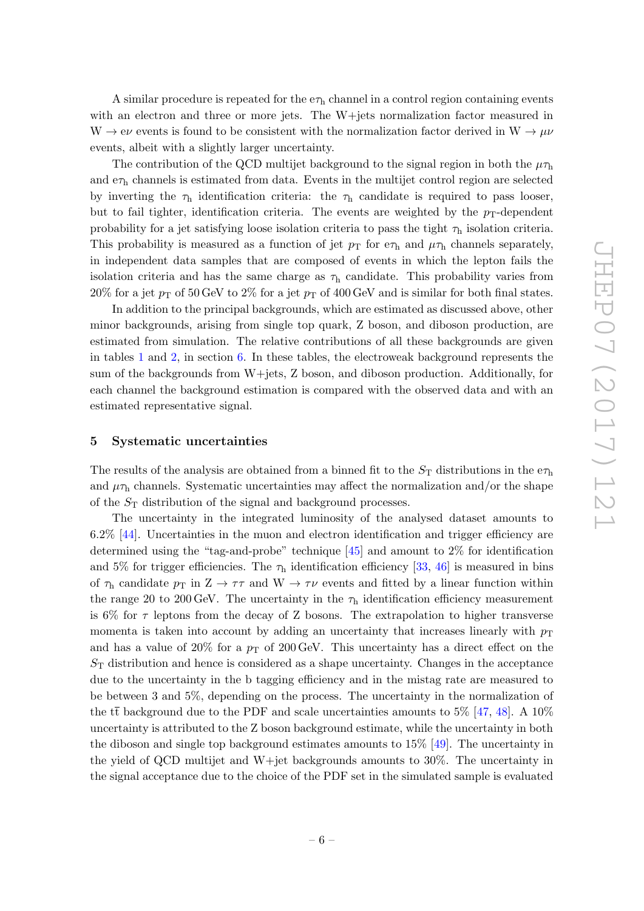A similar procedure is repeated for the  $e\tau_h$  channel in a control region containing events with an electron and three or more jets. The W+jets normalization factor measured in  $W \to e\nu$  events is found to be consistent with the normalization factor derived in  $W \to \mu\nu$ events, albeit with a slightly larger uncertainty.

The contribution of the QCD multijet background to the signal region in both the  $\mu_{\tau_h}$ and  $e\tau_h$  channels is estimated from data. Events in the multijet control region are selected by inverting the  $\tau_h$  identification criteria: the  $\tau_h$  candidate is required to pass looser, but to fail tighter, identification criteria. The events are weighted by the  $p_T$ -dependent probability for a jet satisfying loose isolation criteria to pass the tight  $\tau_h$  isolation criteria. This probability is measured as a function of jet  $p_T$  for  $e\tau_h$  and  $\mu\tau_h$  channels separately, in independent data samples that are composed of events in which the lepton fails the isolation criteria and has the same charge as  $\tau_h$  candidate. This probability varies from 20% for a jet  $p_T$  of 50 GeV to 2% for a jet  $p_T$  of 400 GeV and is similar for both final states.

In addition to the principal backgrounds, which are estimated as discussed above, other minor backgrounds, arising from single top quark, Z boson, and diboson production, are estimated from simulation. The relative contributions of all these backgrounds are given in tables [1](#page-9-0) and [2,](#page-9-1) in section [6.](#page-7-0) In these tables, the electroweak background represents the sum of the backgrounds from W+jets, Z boson, and diboson production. Additionally, for each channel the background estimation is compared with the observed data and with an estimated representative signal.

#### <span id="page-6-0"></span>5 Systematic uncertainties

The results of the analysis are obtained from a binned fit to the  $S_T$  distributions in the  $e_{\tau_h}$ and  $\mu\tau_h$  channels. Systematic uncertainties may affect the normalization and/or the shape of the  $S_T$  distribution of the signal and background processes.

The uncertainty in the integrated luminosity of the analysed dataset amounts to  $6.2\%$  [\[44\]](#page-14-16). Uncertainties in the muon and electron identification and trigger efficiency are determined using the "tag-and-probe" technique [\[45\]](#page-14-17) and amount to 2% for identification and 5% for trigger efficiencies. The  $\tau<sub>h</sub>$  identification efficiency [\[33,](#page-14-5) [46\]](#page-14-18) is measured in bins of  $\tau_h$  candidate  $p_T$  in  $Z \to \tau\tau$  and  $W \to \tau\nu$  events and fitted by a linear function within the range 20 to 200 GeV. The uncertainty in the  $\tau_h$  identification efficiency measurement is 6% for  $\tau$  leptons from the decay of Z bosons. The extrapolation to higher transverse momenta is taken into account by adding an uncertainty that increases linearly with  $p_T$ and has a value of 20% for a  $p_T$  of 200 GeV. This uncertainty has a direct effect on the  $S_{\rm T}$  distribution and hence is considered as a shape uncertainty. Changes in the acceptance due to the uncertainty in the b tagging efficiency and in the mistag rate are measured to be between 3 and 5%, depending on the process. The uncertainty in the normalization of the  $t\bar{t}$  background due to the PDF and scale uncertainties amounts to 5% [\[47,](#page-14-19) [48\]](#page-15-0). A 10% uncertainty is attributed to the Z boson background estimate, while the uncertainty in both the diboson and single top background estimates amounts to 15% [\[49\]](#page-15-1). The uncertainty in the yield of QCD multijet and W+jet backgrounds amounts to  $30\%$ . The uncertainty in the signal acceptance due to the choice of the PDF set in the simulated sample is evaluated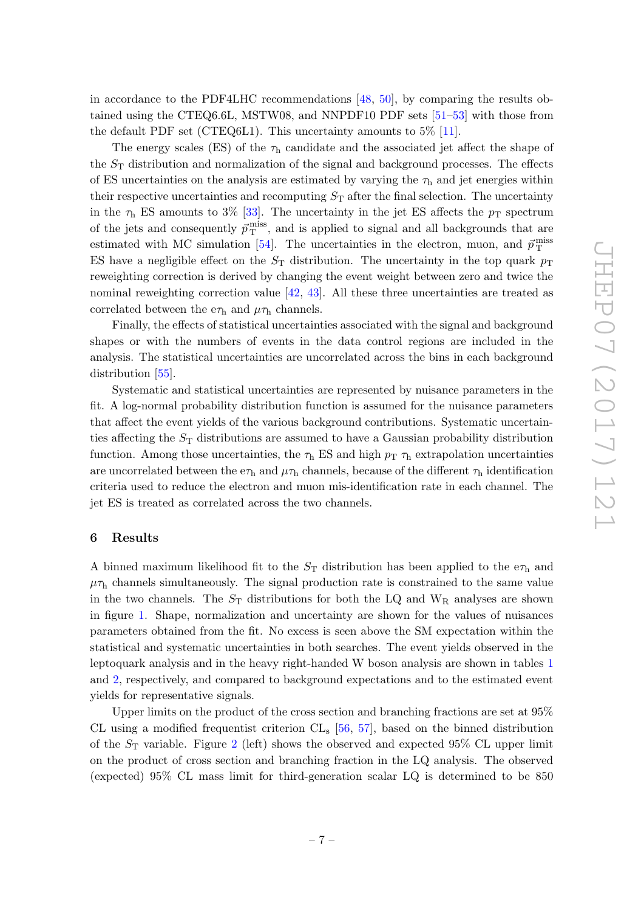in accordance to the PDF4LHC recommendations [\[48,](#page-15-0) [50\]](#page-15-2), by comparing the results obtained using the CTEQ6.6L, MSTW08, and NNPDF10 PDF sets [\[51–](#page-15-3)[53\]](#page-15-4) with those from the default PDF set (CTEQ6L1). This uncertainty amounts to  $5\%$  [\[11\]](#page-13-1).

The energy scales (ES) of the  $\tau<sub>h</sub>$  candidate and the associated jet affect the shape of the  $S_T$  distribution and normalization of the signal and background processes. The effects of ES uncertainties on the analysis are estimated by varying the  $\tau_h$  and jet energies within their respective uncertainties and recomputing  $S_T$  after the final selection. The uncertainty in the  $\tau_h$  ES amounts to 3% [\[33\]](#page-14-5). The uncertainty in the jet ES affects the  $p_T$  spectrum of the jets and consequently  $\vec{p}_{\rm T}^{\rm miss}$ , and is applied to signal and all backgrounds that are estimated with MC simulation [\[54\]](#page-15-5). The uncertainties in the electron, muon, and  $\vec{p}_{\rm T}^{\rm miss}$ ES have a negligible effect on the  $S_T$  distribution. The uncertainty in the top quark  $p_T$ reweighting correction is derived by changing the event weight between zero and twice the nominal reweighting correction value [\[42,](#page-14-14) [43\]](#page-14-15). All these three uncertainties are treated as correlated between the  $e\tau_h$  and  $\mu\tau_h$  channels.

Finally, the effects of statistical uncertainties associated with the signal and background shapes or with the numbers of events in the data control regions are included in the analysis. The statistical uncertainties are uncorrelated across the bins in each background distribution [\[55\]](#page-15-6).

Systematic and statistical uncertainties are represented by nuisance parameters in the fit. A log-normal probability distribution function is assumed for the nuisance parameters that affect the event yields of the various background contributions. Systematic uncertainties affecting the  $S_T$  distributions are assumed to have a Gaussian probability distribution function. Among those uncertainties, the  $\tau_h$  ES and high  $p_T$   $\tau_h$  extrapolation uncertainties are uncorrelated between the  $e\tau_h$  and  $\mu\tau_h$  channels, because of the different  $\tau_h$  identification criteria used to reduce the electron and muon mis-identification rate in each channel. The jet ES is treated as correlated across the two channels.

### <span id="page-7-0"></span>6 Results

A binned maximum likelihood fit to the  $S_T$  distribution has been applied to the  $e\tau_h$  and  $\mu\tau_h$  channels simultaneously. The signal production rate is constrained to the same value in the two channels. The  $S_T$  distributions for both the LQ and  $W_R$  analyses are shown in figure [1.](#page-8-0) Shape, normalization and uncertainty are shown for the values of nuisances parameters obtained from the fit. No excess is seen above the SM expectation within the statistical and systematic uncertainties in both searches. The event yields observed in the leptoquark analysis and in the heavy right-handed W boson analysis are shown in tables [1](#page-9-0) and [2,](#page-9-1) respectively, and compared to background expectations and to the estimated event yields for representative signals.

Upper limits on the product of the cross section and branching fractions are set at 95% CL using a modified frequentist criterion  $CL<sub>s</sub>$  [\[56,](#page-15-7) [57\]](#page-15-8), based on the binned distribution of the  $S_T$  variable. Figure [2](#page-10-1) (left) shows the observed and expected 95% CL upper limit on the product of cross section and branching fraction in the LQ analysis. The observed (expected) 95% CL mass limit for third-generation scalar LQ is determined to be 850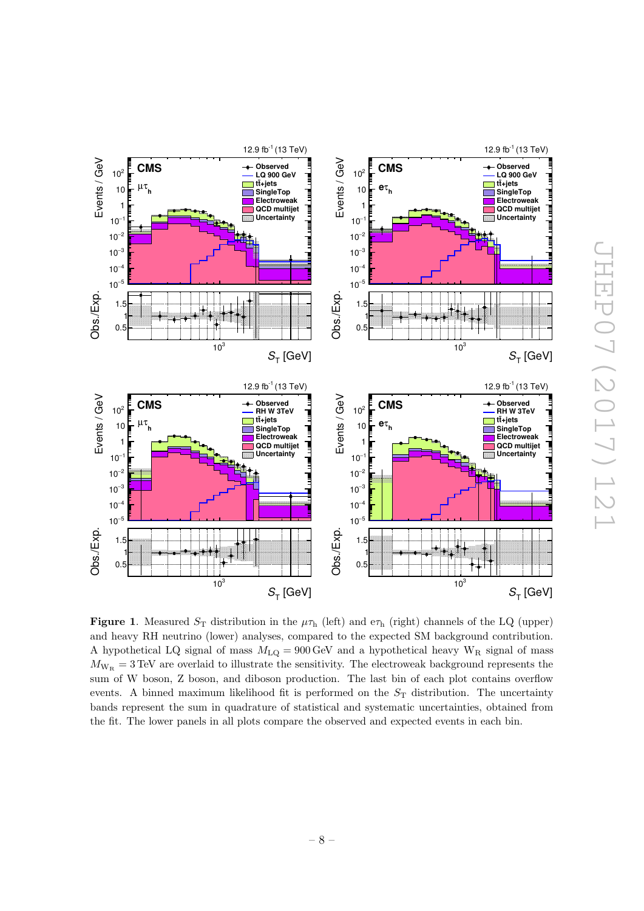

<span id="page-8-0"></span>**Figure 1.** Measured  $S_T$  distribution in the  $\mu_{T<sub>h</sub>}$  (left) and  $e_{T<sub>h</sub>}$  (right) channels of the LQ (upper) and heavy RH neutrino (lower) analyses, compared to the expected SM background contribution. A hypothetical LQ signal of mass  $M_{\text{LQ}} = 900 \,\text{GeV}$  and a hypothetical heavy W<sub>R</sub> signal of mass  $M_{\text{W}_{\text{B}}} = 3 \text{ TeV}$  are overlaid to illustrate the sensitivity. The electroweak background represents the sum of W boson, Z boson, and diboson production. The last bin of each plot contains overflow events. A binned maximum likelihood fit is performed on the  $S_T$  distribution. The uncertainty bands represent the sum in quadrature of statistical and systematic uncertainties, obtained from the fit. The lower panels in all plots compare the observed and expected events in each bin.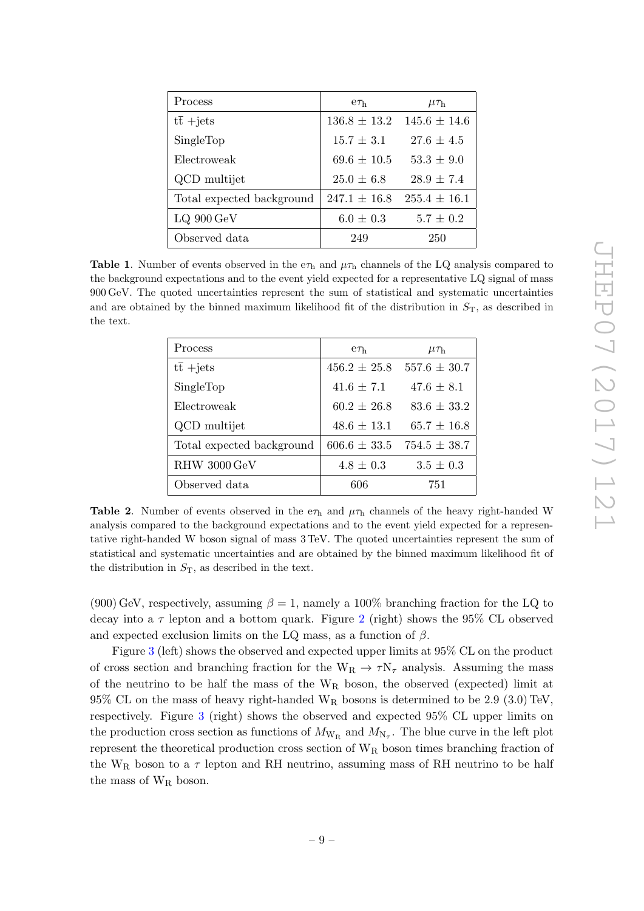| Process                        | $e\tau_{h}$      | $\mu\tau_{\rm h}$ |
|--------------------------------|------------------|-------------------|
| $t\bar{t}$ +jets               | $136.8 \pm 13.2$ | $145.6 \pm 14.6$  |
| SingleTop                      | $15.7 \pm 3.1$   | $27.6 \pm 4.5$    |
| Electroweak                    | $69.6 \pm 10.5$  | $53.3 \pm 9.0$    |
| QCD multijet                   | $25.0 \pm 6.8$   | $28.9 \pm 7.4$    |
| Total expected background      | $247.1 \pm 16.8$ | $255.4 \pm 16.1$  |
| $\text{LQ } 900 \, \text{GeV}$ | $6.0 \pm 0.3$    | $5.7 \pm 0.2$     |
| Observed data                  | 249              | 250               |

<span id="page-9-0"></span>Table 1. Number of events observed in the  $e\tau_h$  and  $\mu\tau_h$  channels of the LQ analysis compared to the background expectations and to the event yield expected for a representative LQ signal of mass 900 GeV. The quoted uncertainties represent the sum of statistical and systematic uncertainties and are obtained by the binned maximum likelihood fit of the distribution in  $S_T$ , as described in the text.

| Process                   | $e\tau_h$        | $\mu\tau_{\rm h}$ |
|---------------------------|------------------|-------------------|
| $t\bar{t}$ +jets          | $456.2 \pm 25.8$ | $557.6 \pm 30.7$  |
| SingleTop                 | $41.6 \pm 7.1$   | $47.6 \pm 8.1$    |
| Electroweak               | $60.2 \pm 26.8$  | $83.6 \pm 33.2$   |
| QCD multijet              | $48.6 \pm 13.1$  | $65.7 \pm 16.8$   |
| Total expected background | $606.6 \pm 33.5$ | $754.5 \pm 38.7$  |
| RHW 3000 GeV              | $4.8 \pm 0.3$    | $3.5 \pm 0.3$     |
| Observed data             | 606              | 751               |

<span id="page-9-1"></span>**Table 2.** Number of events observed in the  $e\tau_h$  and  $\mu\tau_h$  channels of the heavy right-handed W analysis compared to the background expectations and to the event yield expected for a representative right-handed W boson signal of mass 3 TeV. The quoted uncertainties represent the sum of statistical and systematic uncertainties and are obtained by the binned maximum likelihood fit of the distribution in  $S_T$ , as described in the text.

(900) GeV, respectively, assuming  $\beta = 1$ , namely a 100% branching fraction for the LQ to decay into a  $\tau$  lepton and a bottom quark. Figure [2](#page-10-1) (right) shows the 95% CL observed and expected exclusion limits on the LQ mass, as a function of  $\beta$ .

Figure [3](#page-11-0) (left) shows the observed and expected upper limits at 95% CL on the product of cross section and branching fraction for the  $W_R \to \tau N_\tau$  analysis. Assuming the mass of the neutrino to be half the mass of the  $W_R$  boson, the observed (expected) limit at  $95\%$  CL on the mass of heavy right-handed W<sub>R</sub> bosons is determined to be 2.9 (3.0) TeV, respectively. Figure [3](#page-11-0) (right) shows the observed and expected 95% CL upper limits on the production cross section as functions of  $M_{W_R}$  and  $M_{N_\tau}$ . The blue curve in the left plot represent the theoretical production cross section of  $W_R$  boson times branching fraction of the  $W_R$  boson to a  $\tau$  lepton and RH neutrino, assuming mass of RH neutrino to be half the mass of W<sup>R</sup> boson.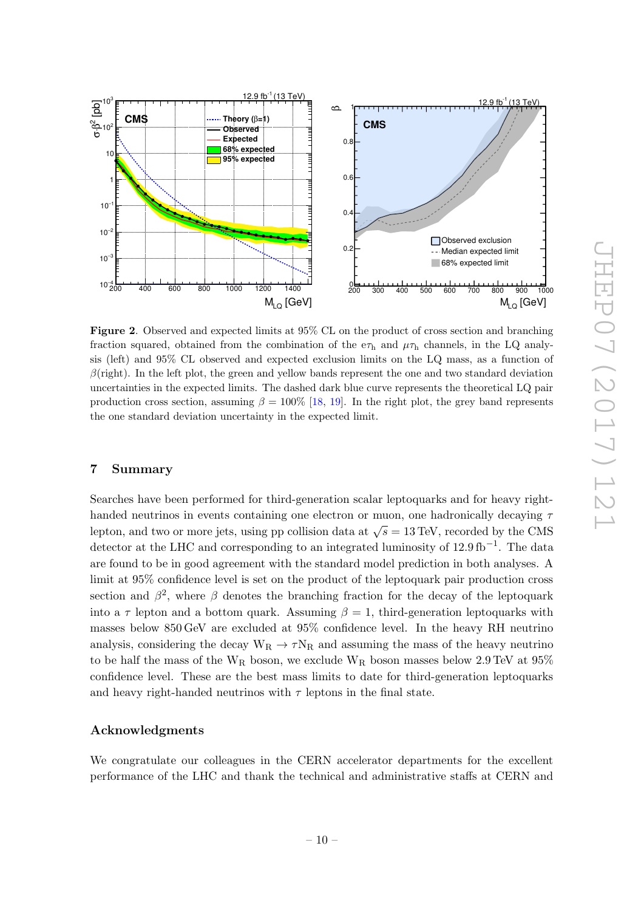

<span id="page-10-1"></span>Figure 2. Observed and expected limits at 95% CL on the product of cross section and branching fraction squared, obtained from the combination of the  $e\tau_h$  and  $\mu\tau_h$  channels, in the LQ analysis (left) and 95% CL observed and expected exclusion limits on the LQ mass, as a function of  $\beta$ (right). In the left plot, the green and yellow bands represent the one and two standard deviation uncertainties in the expected limits. The dashed dark blue curve represents the theoretical LQ pair production cross section, assuming  $\beta = 100\%$  [\[18,](#page-13-8) [19\]](#page-13-9). In the right plot, the grey band represents the one standard deviation uncertainty in the expected limit.

### <span id="page-10-0"></span>7 Summary

Searches have been performed for third-generation scalar leptoquarks and for heavy righthanded neutrinos in events containing one electron or muon, one hadronically decaying  $\tau$ lepton, and two or more jets, using pp collision data at  $\sqrt{s} = 13$  TeV, recorded by the CMS detector at the LHC and corresponding to an integrated luminosity of  $12.9\,\mathrm{fb}^{-1}$ . The data are found to be in good agreement with the standard model prediction in both analyses. A limit at 95% confidence level is set on the product of the leptoquark pair production cross section and  $\beta^2$ , where  $\beta$  denotes the branching fraction for the decay of the leptoquark into a  $\tau$  lepton and a bottom quark. Assuming  $\beta = 1$ , third-generation leptoquarks with masses below 850 GeV are excluded at 95% confidence level. In the heavy RH neutrino analysis, considering the decay  $W_R \rightarrow \tau N_R$  and assuming the mass of the heavy neutrino to be half the mass of the  $W_R$  boson, we exclude  $W_R$  boson masses below 2.9 TeV at  $95\%$ confidence level. These are the best mass limits to date for third-generation leptoquarks and heavy right-handed neutrinos with  $\tau$  leptons in the final state.

## Acknowledgments

We congratulate our colleagues in the CERN accelerator departments for the excellent performance of the LHC and thank the technical and administrative staffs at CERN and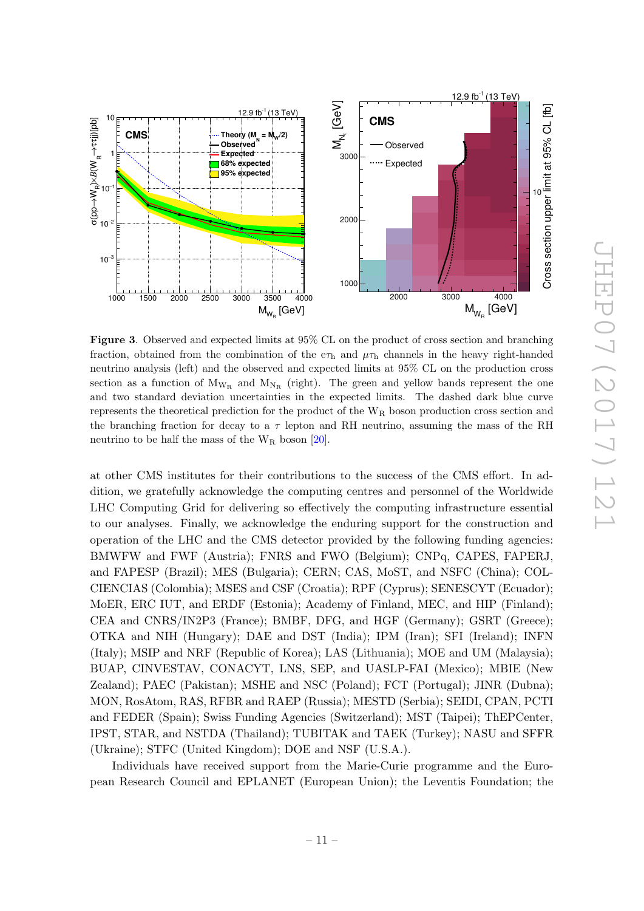

<span id="page-11-0"></span>Figure 3. Observed and expected limits at 95% CL on the product of cross section and branching fraction, obtained from the combination of the  $e\tau_h$  and  $\mu\tau_h$  channels in the heavy right-handed neutrino analysis (left) and the observed and expected limits at 95% CL on the production cross section as a function of  $M_{W_R}$  and  $M_{N_R}$  (right). The green and yellow bands represent the one and two standard deviation uncertainties in the expected limits. The dashed dark blue curve represents the theoretical prediction for the product of the  $W_R$  boson production cross section and the branching fraction for decay to a  $\tau$  lepton and RH neutrino, assuming the mass of the RH neutrino to be half the mass of the  $W_R$  boson [\[20\]](#page-13-10).

at other CMS institutes for their contributions to the success of the CMS effort. In addition, we gratefully acknowledge the computing centres and personnel of the Worldwide LHC Computing Grid for delivering so effectively the computing infrastructure essential to our analyses. Finally, we acknowledge the enduring support for the construction and operation of the LHC and the CMS detector provided by the following funding agencies: BMWFW and FWF (Austria); FNRS and FWO (Belgium); CNPq, CAPES, FAPERJ, and FAPESP (Brazil); MES (Bulgaria); CERN; CAS, MoST, and NSFC (China); COL-CIENCIAS (Colombia); MSES and CSF (Croatia); RPF (Cyprus); SENESCYT (Ecuador); MoER, ERC IUT, and ERDF (Estonia); Academy of Finland, MEC, and HIP (Finland); CEA and CNRS/IN2P3 (France); BMBF, DFG, and HGF (Germany); GSRT (Greece); OTKA and NIH (Hungary); DAE and DST (India); IPM (Iran); SFI (Ireland); INFN (Italy); MSIP and NRF (Republic of Korea); LAS (Lithuania); MOE and UM (Malaysia); BUAP, CINVESTAV, CONACYT, LNS, SEP, and UASLP-FAI (Mexico); MBIE (New Zealand); PAEC (Pakistan); MSHE and NSC (Poland); FCT (Portugal); JINR (Dubna); MON, RosAtom, RAS, RFBR and RAEP (Russia); MESTD (Serbia); SEIDI, CPAN, PCTI and FEDER (Spain); Swiss Funding Agencies (Switzerland); MST (Taipei); ThEPCenter, IPST, STAR, and NSTDA (Thailand); TUBITAK and TAEK (Turkey); NASU and SFFR (Ukraine); STFC (United Kingdom); DOE and NSF (U.S.A.).

Individuals have received support from the Marie-Curie programme and the European Research Council and EPLANET (European Union); the Leventis Foundation; the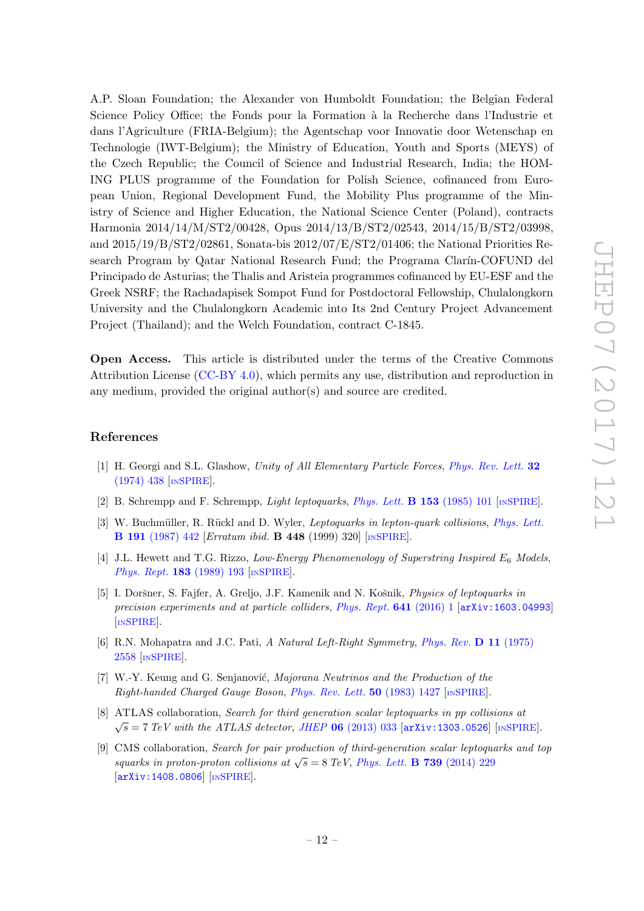A.P. Sloan Foundation; the Alexander von Humboldt Foundation; the Belgian Federal Science Policy Office; the Fonds pour la Formation à la Recherche dans l'Industrie et dans l'Agriculture (FRIA-Belgium); the Agentschap voor Innovatie door Wetenschap en Technologie (IWT-Belgium); the Ministry of Education, Youth and Sports (MEYS) of the Czech Republic; the Council of Science and Industrial Research, India; the HOM-ING PLUS programme of the Foundation for Polish Science, cofinanced from European Union, Regional Development Fund, the Mobility Plus programme of the Ministry of Science and Higher Education, the National Science Center (Poland), contracts Harmonia 2014/14/M/ST2/00428, Opus 2014/13/B/ST2/02543, 2014/15/B/ST2/03998, and 2015/19/B/ST2/02861, Sonata-bis 2012/07/E/ST2/01406; the National Priorities Research Program by Qatar National Research Fund; the Programa Clarín-COFUND del Principado de Asturias; the Thalis and Aristeia programmes cofinanced by EU-ESF and the Greek NSRF; the Rachadapisek Sompot Fund for Postdoctoral Fellowship, Chulalongkorn University and the Chulalongkorn Academic into Its 2nd Century Project Advancement Project (Thailand); and the Welch Foundation, contract C-1845.

Open Access. This article is distributed under the terms of the Creative Commons Attribution License [\(CC-BY 4.0\)](https://creativecommons.org/licenses/by/4.0/), which permits any use, distribution and reproduction in any medium, provided the original author(s) and source are credited.

### References

- <span id="page-12-0"></span>[1] H. Georgi and S.L. Glashow, Unity of All Elementary Particle Forces, [Phys. Rev. Lett.](https://doi.org/10.1103/PhysRevLett.32.438) 32 [\(1974\) 438](https://doi.org/10.1103/PhysRevLett.32.438) [IN[SPIRE](https://inspirehep.net/search?p=find+J+%22Phys.Rev.Lett.,32,438%22)].
- <span id="page-12-1"></span>[2] B. Schrempp and F. Schrempp, *Light leptoquarks*, *[Phys. Lett.](https://doi.org/10.1016/0370-2693(85)91450-9)* **B 153** (1985) 101 [IN[SPIRE](https://inspirehep.net/search?p=find+J+%22Phys.Lett.,B153,101%22)].
- <span id="page-12-2"></span>[3] W. Buchmüller, R. Rückl and D. Wyler, Leptoquarks in lepton-quark collisions, [Phys. Lett.](https://doi.org/10.1016/0370-2693(87)90637-X) B 191 [\(1987\) 442](https://doi.org/10.1016/0370-2693(87)90637-X) [Erratum ibid. B 448 (1999) 320] [IN[SPIRE](https://inspirehep.net/search?p=find+J+%22Phys.Lett.,B191,442%22)].
- <span id="page-12-3"></span>[4] J.L. Hewett and T.G. Rizzo, Low-Energy Phenomenology of Superstring Inspired  $E_6$  Models, [Phys. Rept.](https://doi.org/10.1016/0370-1573(89)90071-9) **183** (1989) 193 [IN[SPIRE](https://inspirehep.net/search?p=find+J+%22Phys.Rept.,183,193%22)].
- <span id="page-12-4"></span>[5] I. Doršner, S. Fajfer, A. Greljo, J.F. Kamenik and N. Košnik, Physics of leptoquarks in precision experiments and at particle colliders, [Phys. Rept.](https://doi.org/10.1016/j.physrep.2016.06.001)  $641$  (2016) 1 [[arXiv:1603.04993](https://arxiv.org/abs/1603.04993)] [IN[SPIRE](https://inspirehep.net/search?p=find+EPRINT+arXiv:1603.04993)].
- <span id="page-12-5"></span>[6] R.N. Mohapatra and J.C. Pati, A Natural Left-Right Symmetry, [Phys. Rev.](https://doi.org/10.1103/PhysRevD.11.2558) D 11 (1975) [2558](https://doi.org/10.1103/PhysRevD.11.2558) [IN[SPIRE](https://inspirehep.net/search?p=find+J+%22Phys.Rev.,D11,2558%22)].
- <span id="page-12-6"></span>[7] W.-Y. Keung and G. Senjanović, Majorana Neutrinos and the Production of the Right-handed Charged Gauge Boson, [Phys. Rev. Lett.](https://doi.org/10.1103/PhysRevLett.50.1427) 50 (1983) 1427 [IN[SPIRE](https://inspirehep.net/search?p=find+J+%22Phys.Rev.Lett.,50,1427%22)].
- <span id="page-12-7"></span>[8] ATLAS collaboration, Search for third generation scalar leptoquarks in pp collisions at  $\sqrt{s}$  = 7 TeV with the ATLAS detector, JHEP 06 [\(2013\) 033](https://doi.org/10.1007/JHEP06(2013)033) [[arXiv:1303.0526](https://arxiv.org/abs/1303.0526)] [IN[SPIRE](https://inspirehep.net/search?p=find+EPRINT+arXiv:1303.0526)].
- <span id="page-12-8"></span>[9] CMS collaboration, Search for pair production of third-generation scalar leptoquarks and top squarks in proton-proton collisions at  $\sqrt{s} = 8 \text{ TeV}$ , [Phys. Lett.](https://doi.org/10.1016/j.physletb.2014.10.063) **B** 739 (2014) 229 [[arXiv:1408.0806](https://arxiv.org/abs/1408.0806)] [IN[SPIRE](https://inspirehep.net/search?p=find+EPRINT+arXiv:1408.0806)].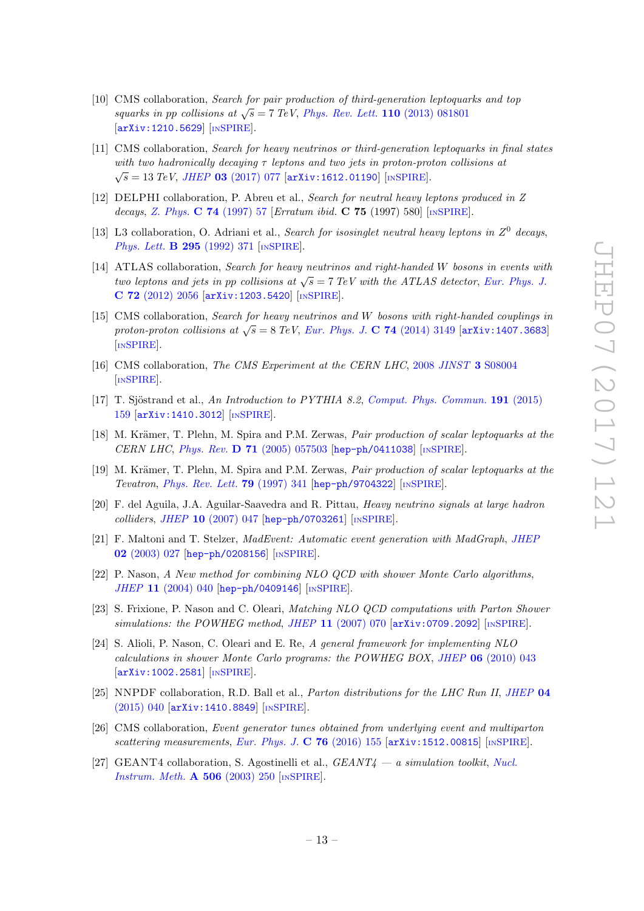- <span id="page-13-0"></span>[10] CMS collaboration, Search for pair production of third-generation leptoquarks and top squarks in pp collisions at  $\sqrt{s} = 7 \text{ TeV}$ , [Phys. Rev. Lett.](https://doi.org/10.1103/PhysRevLett.110.081801) 110 (2013) 081801 [[arXiv:1210.5629](https://arxiv.org/abs/1210.5629)] [IN[SPIRE](https://inspirehep.net/search?p=find+EPRINT+arXiv:1210.5629)].
- <span id="page-13-1"></span>[11] CMS collaboration, Search for heavy neutrinos or third-generation leptoquarks in final states with two hadronically decaying  $\tau$  leptons and two jets in proton-proton collisions at  $\sqrt{s} = 13 \text{ TeV}, \text{ JHEP 03 (2017) 077 [arXiv:1612.01190] [nSPIRE].}$  $\sqrt{s} = 13 \text{ TeV}, \text{ JHEP 03 (2017) 077 [arXiv:1612.01190] [nSPIRE].}$  $\sqrt{s} = 13 \text{ TeV}, \text{ JHEP 03 (2017) 077 [arXiv:1612.01190] [nSPIRE].}$  $\sqrt{s} = 13 \text{ TeV}, \text{ JHEP 03 (2017) 077 [arXiv:1612.01190] [nSPIRE].}$  $\sqrt{s} = 13 \text{ TeV}, \text{ JHEP 03 (2017) 077 [arXiv:1612.01190] [nSPIRE].}$  $\sqrt{s} = 13 \text{ TeV}, \text{ JHEP 03 (2017) 077 [arXiv:1612.01190] [nSPIRE].}$  $\sqrt{s} = 13 \text{ TeV}, \text{ JHEP 03 (2017) 077 [arXiv:1612.01190] [nSPIRE].}$
- <span id="page-13-2"></span>[12] DELPHI collaboration, P. Abreu et al., Search for neutral heavy leptons produced in Z decays, Z. Phys. C 74 [\(1997\) 57](https://doi.org/10.1007/s002880050370) [Erratum ibid. C 75 (1997) 580] [IN[SPIRE](https://inspirehep.net/search?p=find+J+%22Z.Physik,C74,57%22)].
- <span id="page-13-3"></span>[13] L3 collaboration, O. Adriani et al., Search for isosinglet neutral heavy leptons in  $Z^0$  decays, [Phys. Lett.](https://doi.org/10.1016/0370-2693(92)91579-X) **B 295** (1992) 371 [IN[SPIRE](https://inspirehep.net/search?p=find+J+%22Phys.Lett.,B295,371%22)].
- <span id="page-13-4"></span>[14] ATLAS collaboration, Search for heavy neutrinos and right-handed W bosons in events with two leptons and jets in pp collisions at  $\sqrt{s} = 7$  TeV with the ATLAS detector, [Eur. Phys. J.](https://doi.org/10.1140/epjc/s10052-012-2056-4) C 72 [\(2012\) 2056](https://doi.org/10.1140/epjc/s10052-012-2056-4) [[arXiv:1203.5420](https://arxiv.org/abs/1203.5420)] [IN[SPIRE](https://inspirehep.net/search?p=find+EPRINT+arXiv:1203.5420)].
- <span id="page-13-5"></span>[15] CMS collaboration, Search for heavy neutrinos and W bosons with right-handed couplings in proton-proton collisions at  $\sqrt{s} = 8$  TeV, [Eur. Phys. J.](https://doi.org/10.1140/epjc/s10052-014-3149-z) C 74 (2014) 3149 [[arXiv:1407.3683](https://arxiv.org/abs/1407.3683)] [IN[SPIRE](https://inspirehep.net/search?p=find+EPRINT+arXiv:1407.3683)].
- <span id="page-13-6"></span>[16] CMS collaboration, The CMS Experiment at the CERN LHC, 2008 JINST 3 [S08004](https://doi.org/10.1088/1748-0221/3/08/S08004) [IN[SPIRE](https://inspirehep.net/search?p=find+J+%22JINST,3,S08004%22)].
- <span id="page-13-7"></span>[17] T. Sjöstrand et al., An Introduction to PYTHIA 8.2, [Comput. Phys. Commun.](https://doi.org/10.1016/j.cpc.2015.01.024)  $191$  (2015) [159](https://doi.org/10.1016/j.cpc.2015.01.024) [[arXiv:1410.3012](https://arxiv.org/abs/1410.3012)] [IN[SPIRE](https://inspirehep.net/search?p=find+EPRINT+arXiv:1410.3012)].
- <span id="page-13-8"></span>[18] M. Krämer, T. Plehn, M. Spira and P.M. Zerwas, Pair production of scalar leptoquarks at the CERN LHC, Phys. Rev. D 71 [\(2005\) 057503](https://doi.org/10.1103/PhysRevD.71.057503) [[hep-ph/0411038](https://arxiv.org/abs/hep-ph/0411038)] [IN[SPIRE](https://inspirehep.net/search?p=find+EPRINT+hep-ph/0411038)].
- <span id="page-13-9"></span>[19] M. Krämer, T. Plehn, M. Spira and P.M. Zerwas, *Pair production of scalar leptoquarks at the* Tevatron, [Phys. Rev. Lett.](https://doi.org/10.1103/PhysRevLett.79.341) **79** (1997) 341 [[hep-ph/9704322](https://arxiv.org/abs/hep-ph/9704322)] [IN[SPIRE](https://inspirehep.net/search?p=find+EPRINT+hep-ph/9704322)].
- <span id="page-13-10"></span>[20] F. del Aguila, J.A. Aguilar-Saavedra and R. Pittau, Heavy neutrino signals at large hadron colliders, JHEP 10 [\(2007\) 047](https://doi.org/10.1088/1126-6708/2007/10/047) [[hep-ph/0703261](https://arxiv.org/abs/hep-ph/0703261)] [IN[SPIRE](https://inspirehep.net/search?p=find+EPRINT+hep-ph/0703261)].
- <span id="page-13-11"></span>[21] F. Maltoni and T. Stelzer, MadEvent: Automatic event generation with MadGraph, [JHEP](https://doi.org/10.1088/1126-6708/2003/02/027) 02 [\(2003\) 027](https://doi.org/10.1088/1126-6708/2003/02/027) [[hep-ph/0208156](https://arxiv.org/abs/hep-ph/0208156)] [IN[SPIRE](https://inspirehep.net/search?p=find+EPRINT+hep-ph/0208156)].
- <span id="page-13-12"></span>[22] P. Nason, A New method for combining NLO QCD with shower Monte Carlo algorithms, JHEP 11 [\(2004\) 040](https://doi.org/10.1088/1126-6708/2004/11/040) [[hep-ph/0409146](https://arxiv.org/abs/hep-ph/0409146)] [IN[SPIRE](https://inspirehep.net/search?p=find+EPRINT+hep-ph/0409146)].
- [23] S. Frixione, P. Nason and C. Oleari, Matching NLO QCD computations with Parton Shower simulations: the POWHEG method, JHEP 11 [\(2007\) 070](https://doi.org/10.1088/1126-6708/2007/11/070) [[arXiv:0709.2092](https://arxiv.org/abs/0709.2092)] [IN[SPIRE](https://inspirehep.net/search?p=find+EPRINT+arXiv:0709.2092)].
- <span id="page-13-13"></span>[24] S. Alioli, P. Nason, C. Oleari and E. Re, A general framework for implementing NLO calculations in shower Monte Carlo programs: the POWHEG BOX, JHEP 06 [\(2010\) 043](https://doi.org/10.1007/JHEP06(2010)043) [[arXiv:1002.2581](https://arxiv.org/abs/1002.2581)] [IN[SPIRE](https://inspirehep.net/search?p=find+EPRINT+arXiv:1002.2581)].
- <span id="page-13-14"></span>[25] NNPDF collaboration, R.D. Ball et al., *Parton distributions for the LHC Run II, [JHEP](https://doi.org/10.1007/JHEP04(2015)040)* 04 [\(2015\) 040](https://doi.org/10.1007/JHEP04(2015)040) [[arXiv:1410.8849](https://arxiv.org/abs/1410.8849)] [IN[SPIRE](https://inspirehep.net/search?p=find+EPRINT+arXiv:1410.8849)].
- <span id="page-13-15"></span>[26] CMS collaboration, Event generator tunes obtained from underlying event and multiparton scattering measurements, [Eur. Phys. J.](https://doi.org/10.1140/epjc/s10052-016-3988-x) C 76 (2016) 155  $arXiv:1512.00815$  [IN[SPIRE](https://inspirehep.net/search?p=find+EPRINT+arXiv:1512.00815)].
- <span id="page-13-16"></span>[27] GEANT4 collaboration, S. Agostinelli et al.,  $GEANT4 - a$  simulation toolkit, [Nucl.](https://doi.org/10.1016/S0168-9002(03)01368-8) [Instrum. Meth.](https://doi.org/10.1016/S0168-9002(03)01368-8) A 506 (2003) 250 [IN[SPIRE](https://inspirehep.net/search?p=find+J+%22Nucl.Instrum.Meth.,A506,250%22)].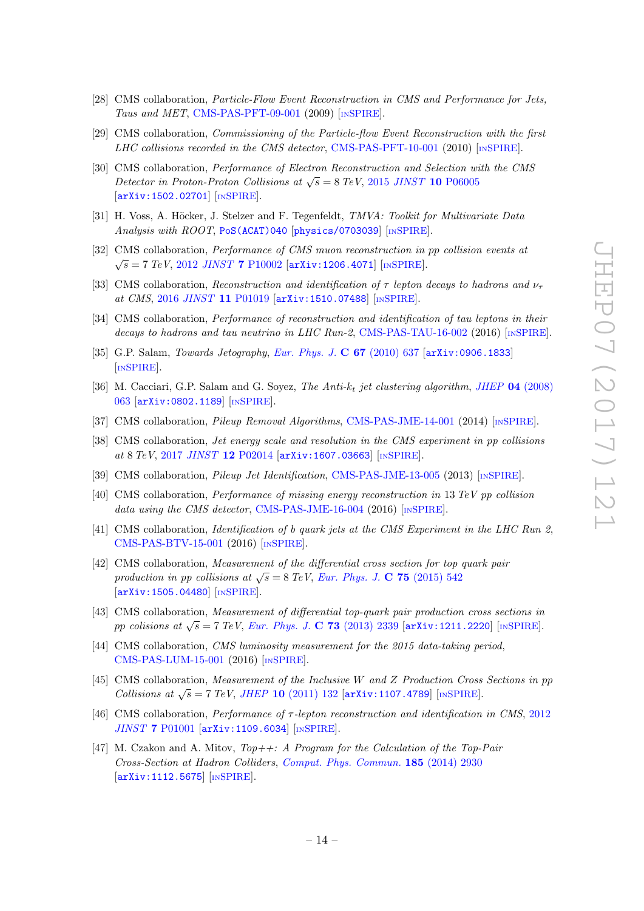- <span id="page-14-0"></span>[28] CMS collaboration, Particle-Flow Event Reconstruction in CMS and Performance for Jets, Taus and MET, [CMS-PAS-PFT-09-001](http://cds.cern.ch/record/1194487) (2009) [IN[SPIRE](https://inspirehep.net/search?p=find+%22CMS-PAS-PFT-09-001%22)].
- <span id="page-14-1"></span>[29] CMS collaboration, Commissioning of the Particle-flow Event Reconstruction with the first LHC collisions recorded in the CMS detector, [CMS-PAS-PFT-10-001](http://cds.cern.ch/record/1247373) (2010) [IN[SPIRE](https://inspirehep.net/search?p=find+%22CMS-PAS-PFT-10-001%22)].
- <span id="page-14-2"></span>[30] CMS collaboration, Performance of Electron Reconstruction and Selection with the CMS Detector in Proton-Proton Collisions at  $\sqrt{s} = 8$  TeV, 2015 JINST 10 [P06005](https://doi.org/10.1088/1748-0221/10/06/P06005) [[arXiv:1502.02701](https://arxiv.org/abs/1502.02701)] [IN[SPIRE](https://inspirehep.net/search?p=find+EPRINT+arXiv:1502.02701)].
- <span id="page-14-3"></span>[31] H. Voss, A. Höcker, J. Stelzer and F. Tegenfeldt, TMVA: Toolkit for Multivariate Data Analysis with ROOT, [PoS\(ACAT\)040](https://pos.sissa.it/contribution?id=PoS(ACAT)040) [[physics/0703039](https://arxiv.org/abs/physics/0703039)] [IN[SPIRE](https://inspirehep.net/search?p=find+EPRINT+physics/0703039)].
- <span id="page-14-4"></span>[32] CMS collaboration, Performance of CMS muon reconstruction in pp collision events at  $\sqrt{s}$  = 7 TeV, 2012 JINST 7 [P10002](https://doi.org/10.1088/1748-0221/7/10/P10002) [[arXiv:1206.4071](https://arxiv.org/abs/1206.4071)] [IN[SPIRE](https://inspirehep.net/search?p=find+EPRINT+arXiv:1206.4071)].
- <span id="page-14-5"></span>[33] CMS collaboration, Reconstruction and identification of  $\tau$  lepton decays to hadrons and  $\nu_{\tau}$ at CMS, 2016 JINST 11 [P01019](https://doi.org/10.1088/1748-0221/11/01/P01019) [[arXiv:1510.07488](https://arxiv.org/abs/1510.07488)] [IN[SPIRE](https://inspirehep.net/search?p=find+EPRINT+arXiv:1510.07488)].
- <span id="page-14-6"></span>[34] CMS collaboration, Performance of reconstruction and identification of tau leptons in their decays to hadrons and tau neutrino in LHC Run-2, [CMS-PAS-TAU-16-002](http://cds.cern.ch/record/2196972) (2016) [IN[SPIRE](https://inspirehep.net/search?p=find+%22CMS-PAS-TAU-16-002%22)].
- <span id="page-14-7"></span>[35] G.P. Salam, *Towards Jetography, [Eur. Phys. J.](https://doi.org/10.1140/epjc/s10052-010-1314-6)* C 67 (2010) 637 [[arXiv:0906.1833](https://arxiv.org/abs/0906.1833)] [IN[SPIRE](https://inspirehep.net/search?p=find+EPRINT+arXiv:0906.1833)].
- <span id="page-14-8"></span>[36] M. Cacciari, G.P. Salam and G. Soyez, The Anti- $k_t$  jet clustering algorithm, JHEP 04 [\(2008\)](https://doi.org/10.1088/1126-6708/2008/04/063) [063](https://doi.org/10.1088/1126-6708/2008/04/063) [[arXiv:0802.1189](https://arxiv.org/abs/0802.1189)] [IN[SPIRE](https://inspirehep.net/search?p=find+EPRINT+arXiv:0802.1189)].
- <span id="page-14-9"></span>[37] CMS collaboration, *Pileup Removal Algorithms*, [CMS-PAS-JME-14-001](http://cds.cern.ch/record/1751454) (2014) [IN[SPIRE](https://inspirehep.net/search?p=find+%22CMS-PAS-JME-14-001%22)].
- <span id="page-14-10"></span>[38] CMS collaboration, Jet energy scale and resolution in the CMS experiment in pp collisions at 8 TeV, 2017 JINST 12 [P02014](https://doi.org/10.1088/1748-0221/12/02/P02014)  $arXiv:1607.03663$  [IN[SPIRE](https://inspirehep.net/search?p=find+EPRINT+arXiv:1607.03663)].
- <span id="page-14-11"></span>[39] CMS collaboration, Pileup Jet Identification, [CMS-PAS-JME-13-005](http://cds.cern.ch/record/1581583) (2013) [IN[SPIRE](https://inspirehep.net/search?p=find+%22CMS-PAS-JME-13-005%22)].
- <span id="page-14-12"></span>[40] CMS collaboration, Performance of missing energy reconstruction in 13 TeV pp collision data using the CMS detector, [CMS-PAS-JME-16-004](http://cds.cern.ch/record/2205284) (2016)  $\text{[nSPIRE]}$  $\text{[nSPIRE]}$  $\text{[nSPIRE]}$ .
- <span id="page-14-13"></span>[41] CMS collaboration, *Identification of b quark jets at the CMS Experiment in the LHC Run 2*, [CMS-PAS-BTV-15-001](http://cds.cern.ch/record/2138504) (2016) [IN[SPIRE](https://inspirehep.net/search?p=find+%22CMS-PAS-BTV-15-001%22)].
- <span id="page-14-14"></span>[42] CMS collaboration, Measurement of the differential cross section for top quark pair production in pp collisions at  $\sqrt{s} = 8$  TeV, [Eur. Phys. J.](https://doi.org/10.1140/epjc/s10052-015-3709-x) C 75 (2015) 542 [[arXiv:1505.04480](https://arxiv.org/abs/1505.04480)] [IN[SPIRE](https://inspirehep.net/search?p=find+EPRINT+arXiv:1505.04480)].
- <span id="page-14-15"></span>[43] CMS collaboration, Measurement of differential top-quark pair production cross sections in pp colisions at  $\sqrt{s} = 7$  TeV, [Eur. Phys. J.](https://doi.org/10.1140/epjc/s10052-013-2339-4) C 73 (2013) 2339 [[arXiv:1211.2220](https://arxiv.org/abs/1211.2220)] [IN[SPIRE](https://inspirehep.net/search?p=find+EPRINT+arXiv:1211.2220)].
- <span id="page-14-16"></span>[44] CMS collaboration, CMS luminosity measurement for the 2015 data-taking period, [CMS-PAS-LUM-15-001](http://cds.cern.ch/record/2138682) (2016) [IN[SPIRE](https://inspirehep.net/search?p=find+%22CMS-PAS-LUM-15-001%22)].
- <span id="page-14-17"></span>[45] CMS collaboration, Measurement of the Inclusive W and Z Production Cross Sections in pp Collisions at  $\sqrt{s}$  = 7 TeV, JHEP 10 [\(2011\) 132](https://doi.org/10.1007/JHEP10(2011)132) [[arXiv:1107.4789](https://arxiv.org/abs/1107.4789)] [IN[SPIRE](https://inspirehep.net/search?p=find+EPRINT+arXiv:1107.4789)].
- <span id="page-14-18"></span>[46] CMS collaboration, Performance of τ -lepton reconstruction and identification in CMS, [2012](https://doi.org/10.1088/1748-0221/7/01/P01001) JINST 7 [P01001](https://doi.org/10.1088/1748-0221/7/01/P01001) [[arXiv:1109.6034](https://arxiv.org/abs/1109.6034)] [IN[SPIRE](https://inspirehep.net/search?p=find+EPRINT+arXiv:1109.6034)].
- <span id="page-14-19"></span>[47] M. Czakon and A. Mitov,  $Top++:$  A Program for the Calculation of the Top-Pair Cross-Section at Hadron Colliders, [Comput. Phys. Commun.](https://doi.org/10.1016/j.cpc.2014.06.021) 185 (2014) 2930 [[arXiv:1112.5675](https://arxiv.org/abs/1112.5675)] [IN[SPIRE](https://inspirehep.net/search?p=find+EPRINT+arXiv:1112.5675)].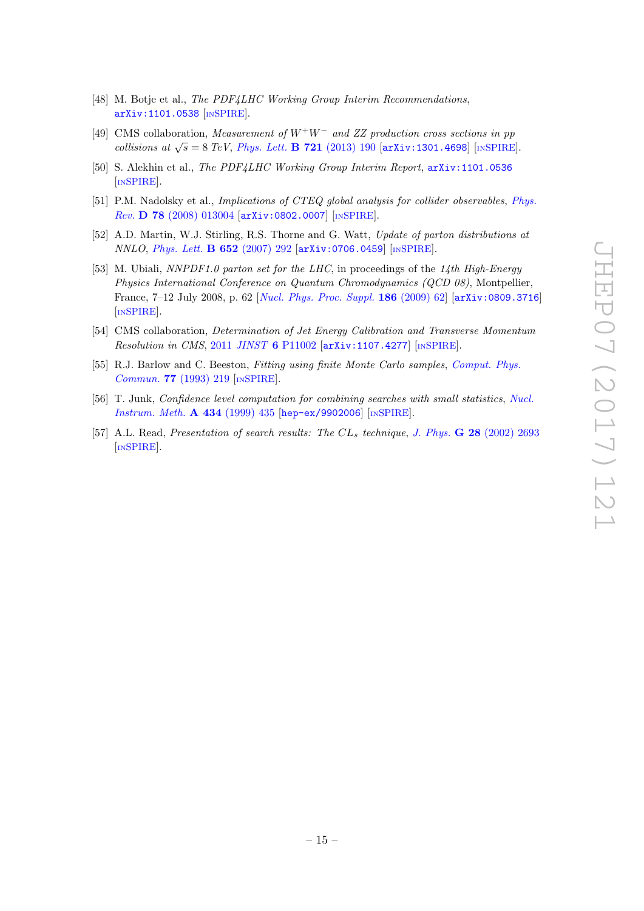- <span id="page-15-0"></span>[48] M. Botje et al., The PDF4LHC Working Group Interim Recommendations, [arXiv:1101.0538](https://arxiv.org/abs/1101.0538) [IN[SPIRE](https://inspirehep.net/search?p=find+EPRINT+arXiv:1101.0538)].
- <span id="page-15-1"></span>[49] CMS collaboration, Measurement of  $W^+W^-$  and ZZ production cross sections in pp collisions at  $\sqrt{s} = 8$  TeV, [Phys. Lett.](https://doi.org/10.1016/j.physletb.2013.03.027) **B** 721 (2013) 190 [[arXiv:1301.4698](https://arxiv.org/abs/1301.4698)] [IN[SPIRE](https://inspirehep.net/search?p=find+EPRINT+arXiv:1301.4698)].
- <span id="page-15-2"></span>[50] S. Alekhin et al., The PDF4LHC Working Group Interim Report,  $arXiv:1101.0536$ [IN[SPIRE](https://inspirehep.net/search?p=find+EPRINT+arXiv:1101.0536)].
- <span id="page-15-3"></span>[51] P.M. Nadolsky et al., *Implications of CTEQ global analysis for collider observables, [Phys.](https://doi.org/10.1103/PhysRevD.78.013004)* Rev. D 78 [\(2008\) 013004](https://doi.org/10.1103/PhysRevD.78.013004) [[arXiv:0802.0007](https://arxiv.org/abs/0802.0007)] [IN[SPIRE](https://inspirehep.net/search?p=find+EPRINT+arXiv:0802.0007)].
- [52] A.D. Martin, W.J. Stirling, R.S. Thorne and G. Watt, Update of parton distributions at NNLO, [Phys. Lett.](https://doi.org/10.1016/j.physletb.2007.07.040) B 652 (2007) 292 [[arXiv:0706.0459](https://arxiv.org/abs/0706.0459)] [IN[SPIRE](https://inspirehep.net/search?p=find+EPRINT+arXiv:0706.0459)].
- <span id="page-15-4"></span>[53] M. Ubiali, NNPDF1.0 parton set for the LHC, in proceedings of the 14th High-Energy Physics International Conference on Quantum Chromodynamics (QCD 08), Montpellier, France, 7–12 July 2008, p. 62 [[Nucl. Phys. Proc. Suppl.](https://doi.org/10.1016/j.nuclphysBPS.2008.12.020) 186 (2009) 62] [[arXiv:0809.3716](https://arxiv.org/abs/0809.3716)] [IN[SPIRE](https://inspirehep.net/search?p=find+EPRINT+arXiv:0809.3716)].
- <span id="page-15-5"></span>[54] CMS collaboration, Determination of Jet Energy Calibration and Transverse Momentum Resolution in CMS, 2011 JINST 6 [P11002](https://doi.org/10.1088/1748-0221/6/11/P11002) [[arXiv:1107.4277](https://arxiv.org/abs/1107.4277)] [IN[SPIRE](https://inspirehep.net/search?p=find+EPRINT+arXiv:1107.4277)].
- <span id="page-15-6"></span>[55] R.J. Barlow and C. Beeston, Fitting using finite Monte Carlo samples, [Comput. Phys.](https://doi.org/10.1016/0010-4655(93)90005-W) Commun. 77 [\(1993\) 219](https://doi.org/10.1016/0010-4655(93)90005-W) [IN[SPIRE](https://inspirehep.net/search?p=find+J+%22Comp.Phys.Comm.,77,219%22)].
- <span id="page-15-7"></span>[56] T. Junk, Confidence level computation for combining searches with small statistics, [Nucl.](https://doi.org/10.1016/S0168-9002(99)00498-2) [Instrum. Meth.](https://doi.org/10.1016/S0168-9002(99)00498-2) A 434 (1999) 435 [[hep-ex/9902006](https://arxiv.org/abs/hep-ex/9902006)] [IN[SPIRE](https://inspirehep.net/search?p=find+EPRINT+hep-ex/9902006)].
- <span id="page-15-8"></span>[57] A.L. Read, Presentation of search results: The CL<sub>s</sub> technique, J. Phys. **G 28** [\(2002\) 2693](https://doi.org/10.1088/0954-3899/28/10/313) [IN[SPIRE](https://inspirehep.net/search?p=find+J+%22J.Phys.,G28,2693%22)].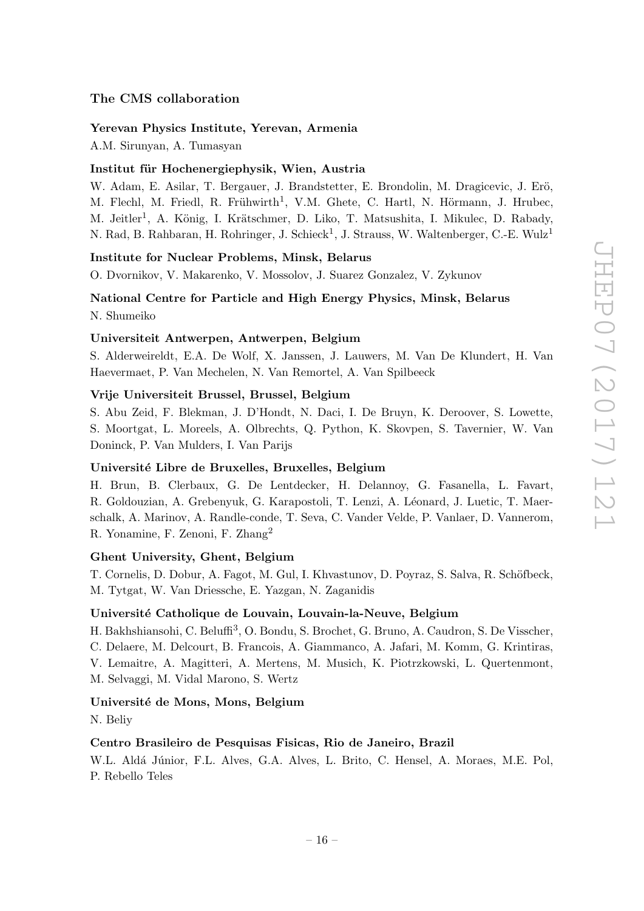### The CMS collaboration

### <span id="page-16-0"></span>Yerevan Physics Institute, Yerevan, Armenia

A.M. Sirunyan, A. Tumasyan

#### Institut für Hochenergiephysik, Wien, Austria

W. Adam, E. Asilar, T. Bergauer, J. Brandstetter, E. Brondolin, M. Dragicevic, J. Erö, M. Flechl, M. Friedl, R. Frühwirth<sup>1</sup>, V.M. Ghete, C. Hartl, N. Hörmann, J. Hrubec, M. Jeitler<sup>1</sup>, A. König, I. Krätschmer, D. Liko, T. Matsushita, I. Mikulec, D. Rabady, N. Rad, B. Rahbaran, H. Rohringer, J. Schieck<sup>1</sup>, J. Strauss, W. Waltenberger, C.-E. Wulz<sup>1</sup>

#### Institute for Nuclear Problems, Minsk, Belarus

O. Dvornikov, V. Makarenko, V. Mossolov, J. Suarez Gonzalez, V. Zykunov

## National Centre for Particle and High Energy Physics, Minsk, Belarus N. Shumeiko

### Universiteit Antwerpen, Antwerpen, Belgium

S. Alderweireldt, E.A. De Wolf, X. Janssen, J. Lauwers, M. Van De Klundert, H. Van Haevermaet, P. Van Mechelen, N. Van Remortel, A. Van Spilbeeck

## Vrije Universiteit Brussel, Brussel, Belgium

S. Abu Zeid, F. Blekman, J. D'Hondt, N. Daci, I. De Bruyn, K. Deroover, S. Lowette, S. Moortgat, L. Moreels, A. Olbrechts, Q. Python, K. Skovpen, S. Tavernier, W. Van Doninck, P. Van Mulders, I. Van Parijs

### Universit´e Libre de Bruxelles, Bruxelles, Belgium

H. Brun, B. Clerbaux, G. De Lentdecker, H. Delannoy, G. Fasanella, L. Favart, R. Goldouzian, A. Grebenyuk, G. Karapostoli, T. Lenzi, A. Léonard, J. Luetic, T. Maerschalk, A. Marinov, A. Randle-conde, T. Seva, C. Vander Velde, P. Vanlaer, D. Vannerom, R. Yonamine, F. Zenoni, F. Zhang<sup>2</sup>

## Ghent University, Ghent, Belgium

T. Cornelis, D. Dobur, A. Fagot, M. Gul, I. Khvastunov, D. Povraz, S. Salva, R. Schöfbeck, M. Tytgat, W. Van Driessche, E. Yazgan, N. Zaganidis

## Université Catholique de Louvain, Louvain-la-Neuve, Belgium

H. Bakhshiansohi, C. Beluffi<sup>3</sup>, O. Bondu, S. Brochet, G. Bruno, A. Caudron, S. De Visscher, C. Delaere, M. Delcourt, B. Francois, A. Giammanco, A. Jafari, M. Komm, G. Krintiras, V. Lemaitre, A. Magitteri, A. Mertens, M. Musich, K. Piotrzkowski, L. Quertenmont, M. Selvaggi, M. Vidal Marono, S. Wertz

### Université de Mons, Mons, Belgium

N. Beliy

#### Centro Brasileiro de Pesquisas Fisicas, Rio de Janeiro, Brazil

W.L. Aldá Júnior, F.L. Alves, G.A. Alves, L. Brito, C. Hensel, A. Moraes, M.E. Pol, P. Rebello Teles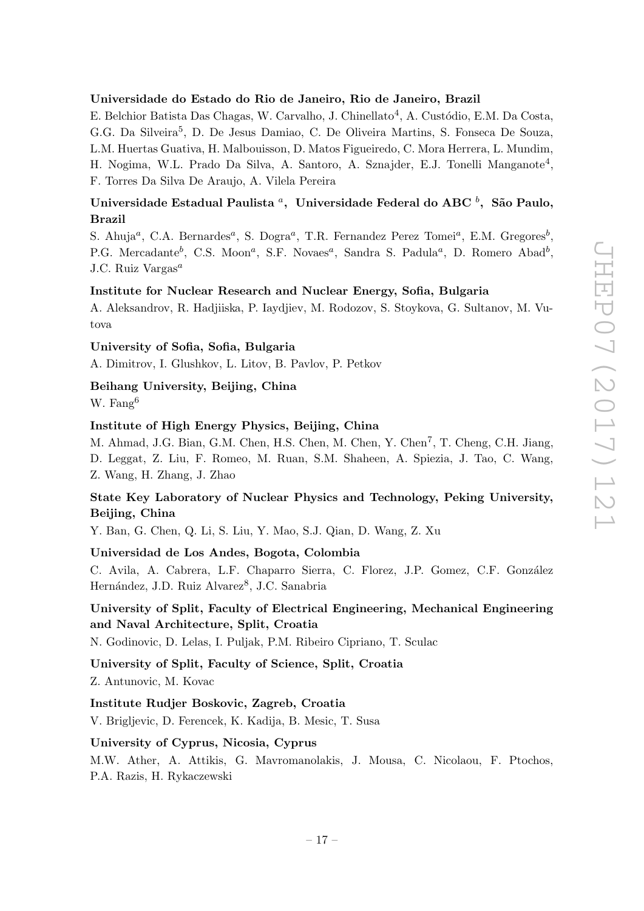### Universidade do Estado do Rio de Janeiro, Rio de Janeiro, Brazil

E. Belchior Batista Das Chagas, W. Carvalho, J. Chinellato<sup>4</sup>, A. Custódio, E.M. Da Costa, G.G. Da Silveira<sup>5</sup>, D. De Jesus Damiao, C. De Oliveira Martins, S. Fonseca De Souza, L.M. Huertas Guativa, H. Malbouisson, D. Matos Figueiredo, C. Mora Herrera, L. Mundim, H. Nogima, W.L. Prado Da Silva, A. Santoro, A. Sznajder, E.J. Tonelli Manganote<sup>4</sup>, F. Torres Da Silva De Araujo, A. Vilela Pereira

## Universidade Estadual Paulista <sup>a</sup>, Universidade Federal do ABC  $^b$ , São Paulo, Brazil

S. Ahuja<sup>a</sup>, C.A. Bernardes<sup>a</sup>, S. Dogra<sup>a</sup>, T.R. Fernandez Perez Tomei<sup>a</sup>, E.M. Gregores<sup>b</sup>, P.G. Mercadante<sup>b</sup>, C.S. Moon<sup>a</sup>, S.F. Novaes<sup>a</sup>, Sandra S. Padula<sup>a</sup>, D. Romero Abad<sup>b</sup>, J.C. Ruiz Vargas $^a$ 

#### Institute for Nuclear Research and Nuclear Energy, Sofia, Bulgaria

A. Aleksandrov, R. Hadjiiska, P. Iaydjiev, M. Rodozov, S. Stoykova, G. Sultanov, M. Vutova

#### University of Sofia, Sofia, Bulgaria

A. Dimitrov, I. Glushkov, L. Litov, B. Pavlov, P. Petkov

# Beihang University, Beijing, China

W. Fang<sup>6</sup>

## Institute of High Energy Physics, Beijing, China

M. Ahmad, J.G. Bian, G.M. Chen, H.S. Chen, M. Chen, Y. Chen<sup>7</sup>, T. Cheng, C.H. Jiang, D. Leggat, Z. Liu, F. Romeo, M. Ruan, S.M. Shaheen, A. Spiezia, J. Tao, C. Wang, Z. Wang, H. Zhang, J. Zhao

## State Key Laboratory of Nuclear Physics and Technology, Peking University, Beijing, China

Y. Ban, G. Chen, Q. Li, S. Liu, Y. Mao, S.J. Qian, D. Wang, Z. Xu

### Universidad de Los Andes, Bogota, Colombia

C. Avila, A. Cabrera, L.F. Chaparro Sierra, C. Florez, J.P. Gomez, C.F. González Hernández, J.D. Ruiz Alvarez<sup>8</sup>, J.C. Sanabria

## University of Split, Faculty of Electrical Engineering, Mechanical Engineering and Naval Architecture, Split, Croatia

N. Godinovic, D. Lelas, I. Puljak, P.M. Ribeiro Cipriano, T. Sculac

#### University of Split, Faculty of Science, Split, Croatia

Z. Antunovic, M. Kovac

Institute Rudjer Boskovic, Zagreb, Croatia

V. Brigljevic, D. Ferencek, K. Kadija, B. Mesic, T. Susa

### University of Cyprus, Nicosia, Cyprus

M.W. Ather, A. Attikis, G. Mavromanolakis, J. Mousa, C. Nicolaou, F. Ptochos, P.A. Razis, H. Rykaczewski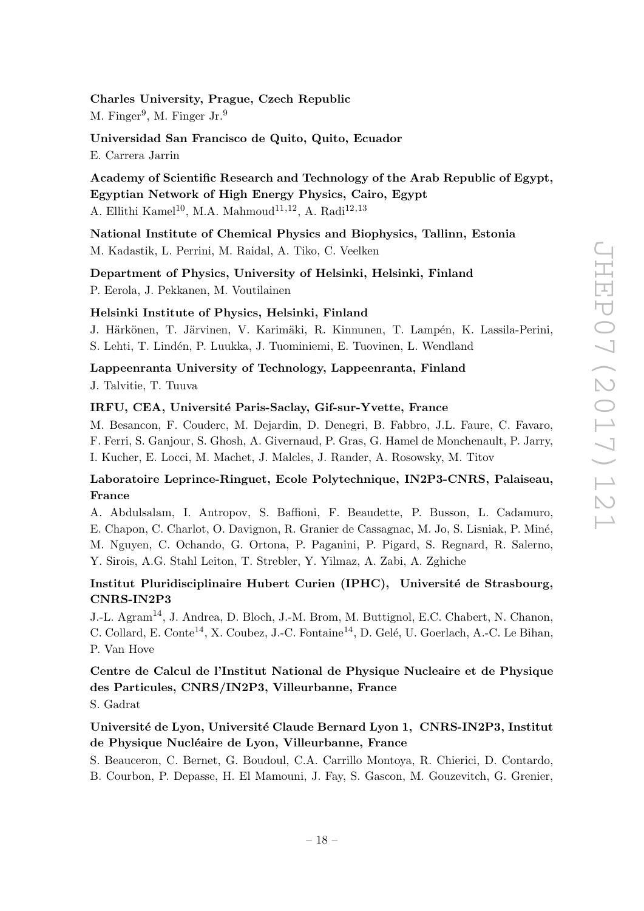## Charles University, Prague, Czech Republic

M. Finger<sup>9</sup>, M. Finger Jr.<sup>9</sup>

Universidad San Francisco de Quito, Quito, Ecuador E. Carrera Jarrin

Academy of Scientific Research and Technology of the Arab Republic of Egypt, Egyptian Network of High Energy Physics, Cairo, Egypt A. Ellithi Kamel<sup>10</sup>, M.A. Mahmoud<sup>11,12</sup>, A. Radi<sup>12,13</sup>

National Institute of Chemical Physics and Biophysics, Tallinn, Estonia M. Kadastik, L. Perrini, M. Raidal, A. Tiko, C. Veelken

Department of Physics, University of Helsinki, Helsinki, Finland

P. Eerola, J. Pekkanen, M. Voutilainen

## Helsinki Institute of Physics, Helsinki, Finland

J. Härkönen, T. Järvinen, V. Karimäki, R. Kinnunen, T. Lampén, K. Lassila-Perini, S. Lehti, T. Lind´en, P. Luukka, J. Tuominiemi, E. Tuovinen, L. Wendland

Lappeenranta University of Technology, Lappeenranta, Finland J. Talvitie, T. Tuuva

## IRFU, CEA, Université Paris-Saclay, Gif-sur-Yvette, France

M. Besancon, F. Couderc, M. Dejardin, D. Denegri, B. Fabbro, J.L. Faure, C. Favaro, F. Ferri, S. Ganjour, S. Ghosh, A. Givernaud, P. Gras, G. Hamel de Monchenault, P. Jarry, I. Kucher, E. Locci, M. Machet, J. Malcles, J. Rander, A. Rosowsky, M. Titov

## Laboratoire Leprince-Ringuet, Ecole Polytechnique, IN2P3-CNRS, Palaiseau, France

A. Abdulsalam, I. Antropov, S. Baffioni, F. Beaudette, P. Busson, L. Cadamuro, E. Chapon, C. Charlot, O. Davignon, R. Granier de Cassagnac, M. Jo, S. Lisniak, P. Miné, M. Nguyen, C. Ochando, G. Ortona, P. Paganini, P. Pigard, S. Regnard, R. Salerno, Y. Sirois, A.G. Stahl Leiton, T. Strebler, Y. Yilmaz, A. Zabi, A. Zghiche

## Institut Pluridisciplinaire Hubert Curien (IPHC), Université de Strasbourg, CNRS-IN2P3

J.-L. Agram14, J. Andrea, D. Bloch, J.-M. Brom, M. Buttignol, E.C. Chabert, N. Chanon, C. Collard, E. Conte<sup>14</sup>, X. Coubez, J.-C. Fontaine<sup>14</sup>, D. Gelé, U. Goerlach, A.-C. Le Bihan, P. Van Hove

Centre de Calcul de l'Institut National de Physique Nucleaire et de Physique des Particules, CNRS/IN2P3, Villeurbanne, France S. Gadrat

## Université de Lyon, Université Claude Bernard Lyon 1, CNRS-IN2P3, Institut de Physique Nucléaire de Lyon, Villeurbanne, France

S. Beauceron, C. Bernet, G. Boudoul, C.A. Carrillo Montoya, R. Chierici, D. Contardo, B. Courbon, P. Depasse, H. El Mamouni, J. Fay, S. Gascon, M. Gouzevitch, G. Grenier,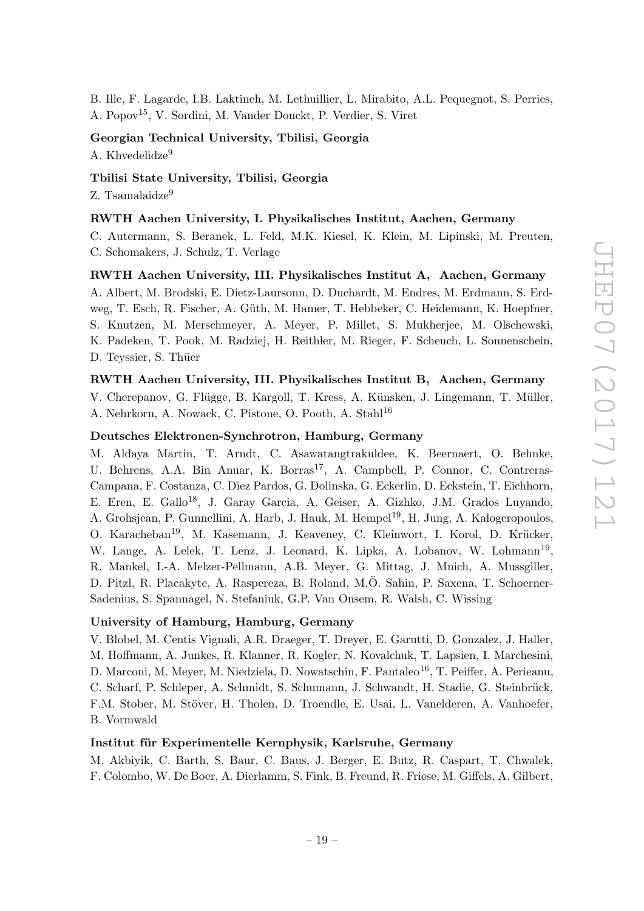B. Ille, F. Lagarde, I.B. Laktineh, M. Lethuillier, L. Mirabito, A.L. Pequegnot, S. Perries, A. Popov15, V. Sordini, M. Vander Donckt, P. Verdier, S. Viret

## Georgian Technical University, Tbilisi, Georgia

A. Khvedelidze $9$ 

## Tbilisi State University, Tbilisi, Georgia

Z. Tsamalaidze<sup>9</sup>

### RWTH Aachen University, I. Physikalisches Institut, Aachen, Germany

C. Autermann, S. Beranek, L. Feld, M.K. Kiesel, K. Klein, M. Lipinski, M. Preuten, C. Schomakers, J. Schulz, T. Verlage

#### RWTH Aachen University, III. Physikalisches Institut A, Aachen, Germany

A. Albert, M. Brodski, E. Dietz-Laursonn, D. Duchardt, M. Endres, M. Erdmann, S. Erdweg, T. Esch, R. Fischer, A. Güth, M. Hamer, T. Hebbeker, C. Heidemann, K. Hoepfner, S. Knutzen, M. Merschmeyer, A. Meyer, P. Millet, S. Mukherjee, M. Olschewski, K. Padeken, T. Pook, M. Radziej, H. Reithler, M. Rieger, F. Scheuch, L. Sonnenschein, D. Teyssier, S. Thüer

### RWTH Aachen University, III. Physikalisches Institut B, Aachen, Germany

V. Cherepanov, G. Flügge, B. Kargoll, T. Kress, A. Künsken, J. Lingemann, T. Müller, A. Nehrkorn, A. Nowack, C. Pistone, O. Pooth, A. Stahl<sup>16</sup>

## Deutsches Elektronen-Synchrotron, Hamburg, Germany

M. Aldaya Martin, T. Arndt, C. Asawatangtrakuldee, K. Beernaert, O. Behnke, U. Behrens, A.A. Bin Anuar, K. Borras<sup>17</sup>, A. Campbell, P. Connor, C. Contreras-Campana, F. Costanza, C. Diez Pardos, G. Dolinska, G. Eckerlin, D. Eckstein, T. Eichhorn, E. Eren, E. Gallo<sup>18</sup>, J. Garay Garcia, A. Geiser, A. Gizhko, J.M. Grados Luyando, A. Grohsjean, P. Gunnellini, A. Harb, J. Hauk, M. Hempel<sup>19</sup>, H. Jung, A. Kalogeropoulos, O. Karacheban<sup>19</sup>, M. Kasemann, J. Keaveney, C. Kleinwort, I. Korol, D. Krücker, W. Lange, A. Lelek, T. Lenz, J. Leonard, K. Lipka, A. Lobanov, W. Lohmann<sup>19</sup>, R. Mankel, I.-A. Melzer-Pellmann, A.B. Meyer, G. Mittag, J. Mnich, A. Mussgiller, D. Pitzl, R. Placakyte, A. Raspereza, B. Roland, M.O. Sahin, P. Saxena, T. Schoerner-Sadenius, S. Spannagel, N. Stefaniuk, G.P. Van Onsem, R. Walsh, C. Wissing

### University of Hamburg, Hamburg, Germany

V. Blobel, M. Centis Vignali, A.R. Draeger, T. Dreyer, E. Garutti, D. Gonzalez, J. Haller, M. Hoffmann, A. Junkes, R. Klanner, R. Kogler, N. Kovalchuk, T. Lapsien, I. Marchesini, D. Marconi, M. Meyer, M. Niedziela, D. Nowatschin, F. Pantaleo<sup>16</sup>, T. Peiffer, A. Perieanu, C. Scharf, P. Schleper, A. Schmidt, S. Schumann, J. Schwandt, H. Stadie, G. Steinbrück, F.M. Stober, M. Stöver, H. Tholen, D. Troendle, E. Usai, L. Vanelderen, A. Vanhoefer, B. Vormwald

#### Institut für Experimentelle Kernphysik, Karlsruhe, Germany

M. Akbiyik, C. Barth, S. Baur, C. Baus, J. Berger, E. Butz, R. Caspart, T. Chwalek, F. Colombo, W. De Boer, A. Dierlamm, S. Fink, B. Freund, R. Friese, M. Giffels, A. Gilbert,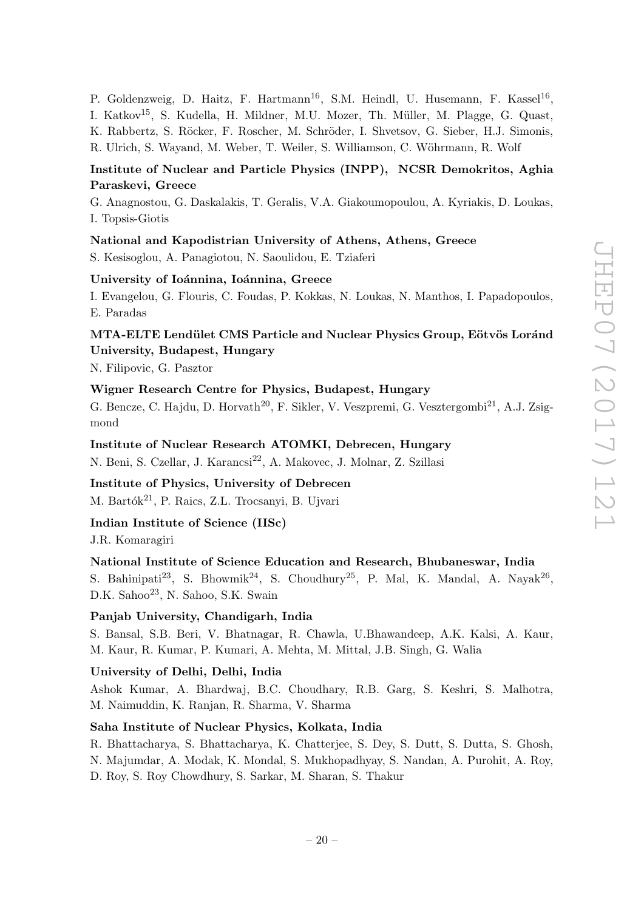P. Goldenzweig, D. Haitz, F. Hartmann<sup>16</sup>, S.M. Heindl, U. Husemann, F. Kassel<sup>16</sup>, I. Katkov<sup>15</sup>, S. Kudella, H. Mildner, M.U. Mozer, Th. Müller, M. Plagge, G. Quast, K. Rabbertz, S. Röcker, F. Roscher, M. Schröder, I. Shvetsov, G. Sieber, H.J. Simonis, R. Ulrich, S. Wayand, M. Weber, T. Weiler, S. Williamson, C. Wöhrmann, R. Wolf

## Institute of Nuclear and Particle Physics (INPP), NCSR Demokritos, Aghia Paraskevi, Greece

G. Anagnostou, G. Daskalakis, T. Geralis, V.A. Giakoumopoulou, A. Kyriakis, D. Loukas, I. Topsis-Giotis

## National and Kapodistrian University of Athens, Athens, Greece

S. Kesisoglou, A. Panagiotou, N. Saoulidou, E. Tziaferi

### University of Ioánnina, Ioánnina, Greece

I. Evangelou, G. Flouris, C. Foudas, P. Kokkas, N. Loukas, N. Manthos, I. Papadopoulos, E. Paradas

## MTA-ELTE Lendület CMS Particle and Nuclear Physics Group, Eötvös Loránd University, Budapest, Hungary

N. Filipovic, G. Pasztor

## Wigner Research Centre for Physics, Budapest, Hungary

G. Bencze, C. Hajdu, D. Horvath<sup>20</sup>, F. Sikler, V. Veszpremi, G. Vesztergombi<sup>21</sup>, A.J. Zsigmond

## Institute of Nuclear Research ATOMKI, Debrecen, Hungary

N. Beni, S. Czellar, J. Karancsi<sup>22</sup>, A. Makovec, J. Molnar, Z. Szillasi

Institute of Physics, University of Debrecen M. Bartók<sup>21</sup>, P. Raics, Z.L. Trocsanyi, B. Ujvari

#### Indian Institute of Science (IISc)

J.R. Komaragiri

## National Institute of Science Education and Research, Bhubaneswar, India

S. Bahinipati<sup>23</sup>, S. Bhowmik<sup>24</sup>, S. Choudhury<sup>25</sup>, P. Mal, K. Mandal, A. Nayak<sup>26</sup>, D.K. Sahoo<sup>23</sup>, N. Sahoo, S.K. Swain

### Panjab University, Chandigarh, India

S. Bansal, S.B. Beri, V. Bhatnagar, R. Chawla, U.Bhawandeep, A.K. Kalsi, A. Kaur, M. Kaur, R. Kumar, P. Kumari, A. Mehta, M. Mittal, J.B. Singh, G. Walia

## University of Delhi, Delhi, India

Ashok Kumar, A. Bhardwaj, B.C. Choudhary, R.B. Garg, S. Keshri, S. Malhotra, M. Naimuddin, K. Ranjan, R. Sharma, V. Sharma

## Saha Institute of Nuclear Physics, Kolkata, India

R. Bhattacharya, S. Bhattacharya, K. Chatterjee, S. Dey, S. Dutt, S. Dutta, S. Ghosh, N. Majumdar, A. Modak, K. Mondal, S. Mukhopadhyay, S. Nandan, A. Purohit, A. Roy, D. Roy, S. Roy Chowdhury, S. Sarkar, M. Sharan, S. Thakur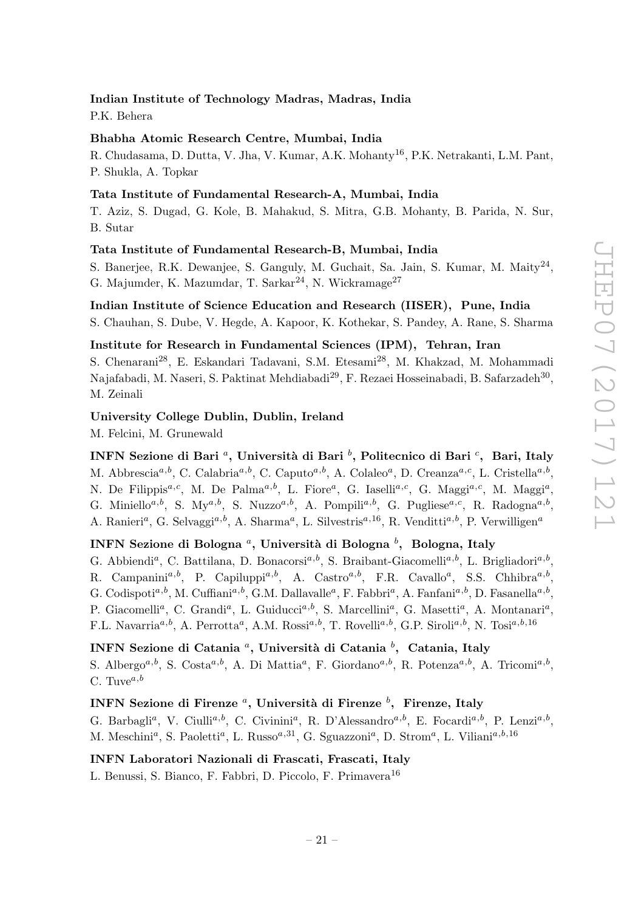## Indian Institute of Technology Madras, Madras, India

P.K. Behera

### Bhabha Atomic Research Centre, Mumbai, India

R. Chudasama, D. Dutta, V. Jha, V. Kumar, A.K. Mohanty<sup>16</sup>, P.K. Netrakanti, L.M. Pant, P. Shukla, A. Topkar

## Tata Institute of Fundamental Research-A, Mumbai, India

T. Aziz, S. Dugad, G. Kole, B. Mahakud, S. Mitra, G.B. Mohanty, B. Parida, N. Sur, B. Sutar

### Tata Institute of Fundamental Research-B, Mumbai, India

S. Banerjee, R.K. Dewanjee, S. Ganguly, M. Guchait, Sa. Jain, S. Kumar, M. Maity<sup>24</sup>, G. Majumder, K. Mazumdar, T. Sarkar<sup>24</sup>, N. Wickramage<sup>27</sup>

### Indian Institute of Science Education and Research (IISER), Pune, India

S. Chauhan, S. Dube, V. Hegde, A. Kapoor, K. Kothekar, S. Pandey, A. Rane, S. Sharma

#### Institute for Research in Fundamental Sciences (IPM), Tehran, Iran

S. Chenarani28, E. Eskandari Tadavani, S.M. Etesami28, M. Khakzad, M. Mohammadi Najafabadi, M. Naseri, S. Paktinat Mehdiabadi<sup>29</sup>, F. Rezaei Hosseinabadi, B. Safarzadeh<sup>30</sup>, M. Zeinali

### University College Dublin, Dublin, Ireland

M. Felcini, M. Grunewald

# INFN Sezione di Bari <sup>a</sup>, Università di Bari  $^b$ , Politecnico di Bari  $^c$ , Bari, Italy

M. Abbrescia<sup>a,b</sup>, C. Calabria<sup>a,b</sup>, C. Caputo<sup>a,b</sup>, A. Colaleo<sup>a</sup>, D. Creanza<sup>a,c</sup>, L. Cristella<sup>a,b</sup>, N. De Filippis<sup>a,c</sup>, M. De Palma<sup>a,b</sup>, L. Fiore<sup>a</sup>, G. Iaselli<sup>a,c</sup>, G. Maggi<sup>a,c</sup>, M. Maggi<sup>a</sup>, G. Miniello<sup>a,b</sup>, S. My<sup>a,b</sup>, S. Nuzzo<sup>a,b</sup>, A. Pompili<sup>a,b</sup>, G. Pugliese<sup>a,c</sup>, R. Radogna<sup>a,b</sup>, A. Ranieri<sup>a</sup>, G. Selvaggi<sup>a,b</sup>, A. Sharma<sup>a</sup>, L. Silvestris<sup>a,16</sup>, R. Venditti<sup>a,b</sup>, P. Verwilligen<sup>a</sup>

## INFN Sezione di Bologna <sup>a</sup>, Università di Bologna  $^b$ , Bologna, Italy

G. Abbiendi<sup>a</sup>, C. Battilana, D. Bonacorsi<sup>a,b</sup>, S. Braibant-Giacomelli<sup>a,b</sup>, L. Brigliadori<sup>a,b</sup>, R. Campanini<sup>a,b</sup>, P. Capiluppi<sup>a,b</sup>, A. Castro<sup>a,b</sup>, F.R. Cavallo<sup>a</sup>, S.S. Chhibra<sup>a,b</sup>, G. Codispoti<sup>a,b</sup>, M. Cuffiani<sup>a,b</sup>, G.M. Dallavalle<sup>a</sup>, F. Fabbri<sup>a</sup>, A. Fanfani<sup>a,b</sup>, D. Fasanella<sup>a,b</sup>, P. Giacomelli<sup>a</sup>, C. Grandi<sup>a</sup>, L. Guiducci<sup>a,b</sup>, S. Marcellini<sup>a</sup>, G. Masetti<sup>a</sup>, A. Montanari<sup>a</sup>, F.L. Navarria<sup>a,b</sup>, A. Perrotta<sup>a</sup>, A.M. Rossi<sup>a,b</sup>, T. Rovelli<sup>a,b</sup>, G.P. Siroli<sup>a,b</sup>, N. Tosi<sup>a,b,16</sup>

## INFN Sezione di Catania <sup>a</sup>, Università di Catania  $^b$ , Catania, Italy

S. Albergo<sup>a,b</sup>, S. Costa<sup>a,b</sup>, A. Di Mattia<sup>a</sup>, F. Giordano<sup>a,b</sup>, R. Potenza<sup>a,b</sup>, A. Tricomi<sup>a,b</sup>, C. Tuve<sup> $a,b$ </sup>

## INFN Sezione di Firenze <sup>a</sup>, Università di Firenze  $^b$ , Firenze, Italy

G. Barbagli<sup>a</sup>, V. Ciulli<sup>a,b</sup>, C. Civinini<sup>a</sup>, R. D'Alessandro<sup>a,b</sup>, E. Focardi<sup>a,b</sup>, P. Lenzi<sup>a,b</sup>, M. Meschini<sup>a</sup>, S. Paoletti<sup>a</sup>, L. Russo<sup>a, 31</sup>, G. Sguazzoni<sup>a</sup>, D. Strom<sup>a</sup>, L. Viliani<sup>a, b, 16</sup>

## INFN Laboratori Nazionali di Frascati, Frascati, Italy

L. Benussi, S. Bianco, F. Fabbri, D. Piccolo, F. Primavera<sup>16</sup>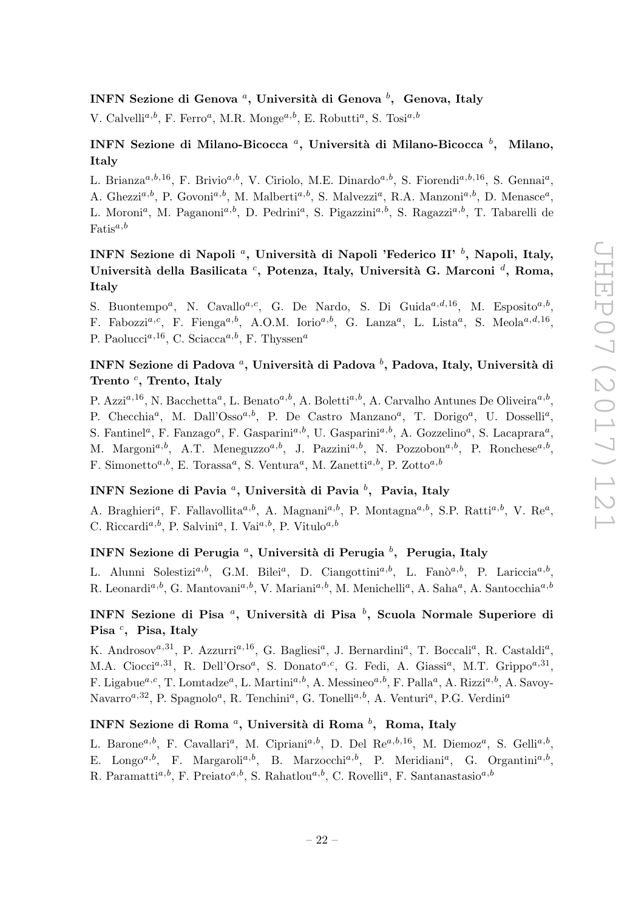## INFN Sezione di Genova  $^a,$  Università di Genova  $^b, \,$  Genova, Italy

V. Calvelli<sup>a,b</sup>, F. Ferro<sup>a</sup>, M.R. Monge<sup>a,b</sup>, E. Robutti<sup>a</sup>, S. Tosi<sup>a,b</sup>

## INFN Sezione di Milano-Bicocca <sup>a</sup>, Università di Milano-Bicocca <sup>b</sup>, Milano, Italy

L. Brianza<sup>a,b,16</sup>, F. Brivio<sup>a,b</sup>, V. Ciriolo, M.E. Dinardo<sup>a,b</sup>, S. Fiorendi<sup>a,b,16</sup>, S. Gennai<sup>a</sup>, A. Ghezzi<sup>a,b</sup>, P. Govoni<sup>a,b</sup>, M. Malberti<sup>a,b</sup>, S. Malvezzi<sup>a</sup>, R.A. Manzoni<sup>a,b</sup>, D. Menasce<sup>a</sup>, L. Moroni<sup>a</sup>, M. Paganoni<sup>a,b</sup>, D. Pedrini<sup>a</sup>, S. Pigazzini<sup>a,b</sup>, S. Ragazzi<sup>a,b</sup>, T. Tabarelli de  $Fatis<sup>a,b</sup>$ 

## INFN Sezione di Napoli <sup>a</sup>, Università di Napoli 'Federico II'  $^b$ , Napoli, Italy, Università della Basilicata  $^c$ , Potenza, Italy, Università G. Marconi  $^d$ , Roma, Italy

S. Buontempo<sup>a</sup>, N. Cavallo<sup>a,c</sup>, G. De Nardo, S. Di Guida<sup>a,d,16</sup>, M. Esposito<sup>a,b</sup>, F. Fabozzi<sup>a,c</sup>, F. Fienga<sup>a,b</sup>, A.O.M. Iorio<sup>a,b</sup>, G. Lanza<sup>a</sup>, L. Lista<sup>a</sup>, S. Meola<sup>a,d,16</sup>, P. Paolucci<sup>a, 16</sup>, C. Sciacca<sup>a,b</sup>, F. Thyssen<sup>a</sup>

## INFN Sezione di Padova <sup>a</sup>, Università di Padova  $^b$ , Padova, Italy, Università di  $Trento<sup>c</sup>$ , Trento, Italy

P. Azzi<sup>a, 16</sup>, N. Bacchetta<sup>a</sup>, L. Benato<sup>a, b</sup>, A. Boletti<sup>a, b</sup>, A. Carvalho Antunes De Oliveira<sup>a, b</sup>, P. Checchia<sup>a</sup>, M. Dall'Osso<sup>a,b</sup>, P. De Castro Manzano<sup>a</sup>, T. Dorigo<sup>a</sup>, U. Dosselli<sup>a</sup>, S. Fantinel<sup>a</sup>, F. Fanzago<sup>a</sup>, F. Gasparini<sup>a,b</sup>, U. Gasparini<sup>a,b</sup>, A. Gozzelino<sup>a</sup>, S. Lacaprara<sup>a</sup>, M. Margoni<sup>a,b</sup>, A.T. Meneguzzo<sup>a,b</sup>, J. Pazzini<sup>a,b</sup>, N. Pozzobon<sup>a,b</sup>, P. Ronchese<sup>a,b</sup>, F. Simonetto<sup>a,b</sup>, E. Torassa<sup>a</sup>, S. Ventura<sup>a</sup>, M. Zanetti<sup>a,b</sup>, P. Zotto<sup>a,b</sup>

## INFN Sezione di Pavia <sup>a</sup>, Università di Pavia  $^b$ , Pavia, Italy

A. Braghieri<sup>a</sup>, F. Fallavollita<sup>a,b</sup>, A. Magnani<sup>a,b</sup>, P. Montagna<sup>a,b</sup>, S.P. Ratti<sup>a,b</sup>, V. Re<sup>a</sup>, C. Riccardi<sup>a,b</sup>, P. Salvini<sup>a</sup>, I. Vai<sup>a,b</sup>, P. Vitulo<sup>a,b</sup>

## INFN Sezione di Perugia <sup>a</sup>, Università di Perugia  $^b$ , Perugia, Italy

L. Alunni Solestizi<sup>a,b</sup>, G.M. Bilei<sup>a</sup>, D. Ciangottini<sup>a,b</sup>, L. Fanò<sup>a,b</sup>, P. Lariccia<sup>a,b</sup>, R. Leonardi<sup>a, b</sup>, G. Mantovani<sup>a, b</sup>, V. Mariani<sup>a, b</sup>, M. Menichelli<sup>a</sup>, A. Saha<sup>a</sup>, A. Santocchia<sup>a, b</sup>

## INFN Sezione di Pisa <sup>a</sup>, Università di Pisa <sup>b</sup>, Scuola Normale Superiore di Pisa<sup>c</sup>, Pisa, Italy

K. Androsov<sup>a, 31</sup>, P. Azzurri<sup>a, 16</sup>, G. Bagliesi<sup>a</sup>, J. Bernardini<sup>a</sup>, T. Boccali<sup>a</sup>, R. Castaldi<sup>a</sup>, M.A. Ciocci<sup>a,31</sup>, R. Dell'Orso<sup>a</sup>, S. Donato<sup>a,c</sup>, G. Fedi, A. Giassi<sup>a</sup>, M.T. Grippo<sup>a,31</sup>, F. Ligabue<sup>a, c</sup>, T. Lomtadze<sup>a</sup>, L. Martini<sup>a, b</sup>, A. Messineo<sup>a, b</sup>, F. Palla<sup>a</sup>, A. Rizzi<sup>a, b</sup>, A. Savoy-Navarro<sup>a, 32</sup>, P. Spagnolo<sup>a</sup>, R. Tenchini<sup>a</sup>, G. Tonelli<sup>a, b</sup>, A. Venturi<sup>a</sup>, P.G. Verdini<sup>a</sup>

## INFN Sezione di Roma  $^a,$  Università di Roma  $^b, \, \,$  Roma, Italy

L. Barone<sup>a,b</sup>, F. Cavallari<sup>a</sup>, M. Cipriani<sup>a,b</sup>, D. Del Re<sup>a,b,16</sup>, M. Diemoz<sup>a</sup>, S. Gelli<sup>a,b</sup>, E. Longo<sup>a,b</sup>, F. Margaroli<sup>a,b</sup>, B. Marzocchi<sup>a,b</sup>, P. Meridiani<sup>a</sup>, G. Organtini<sup>a,b</sup>, R. Paramatti<sup>a,b</sup>, F. Preiato<sup>a,b</sup>, S. Rahatlou<sup>a,b</sup>, C. Rovelli<sup>a</sup>, F. Santanastasio<sup>a,b</sup>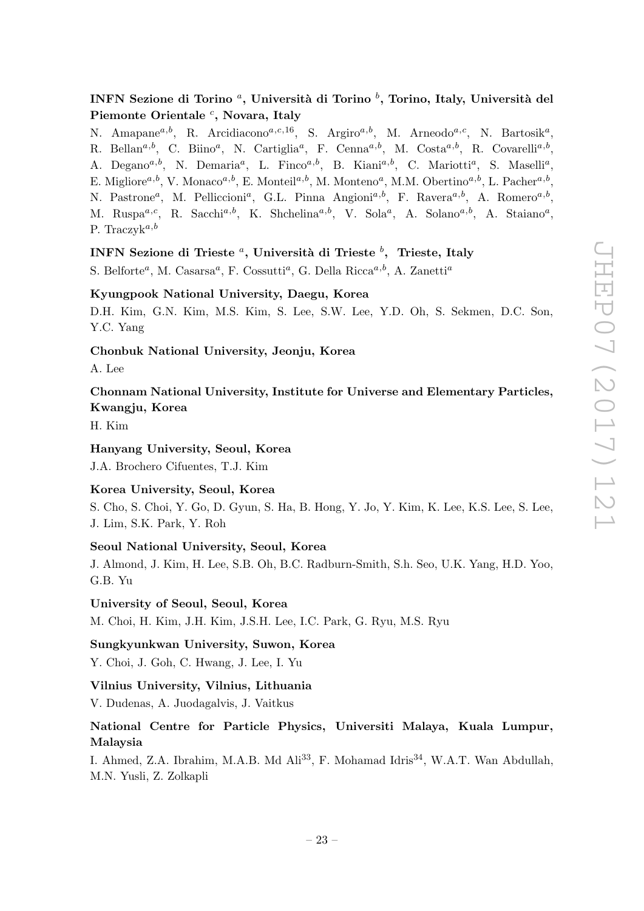## INFN Sezione di Torino <sup>a</sup>, Università di Torino  $^b,$  Torino, Italy, Università del Piemonte Orientale  $^c$ , Novara, Italy

N. Amapane<sup>a,b</sup>, R. Arcidiacono<sup>a,c,16</sup>, S. Argiro<sup>a,b</sup>, M. Arneodo<sup>a,c</sup>, N. Bartosik<sup>a</sup>, R. Bellan<sup>a,b</sup>, C. Biino<sup>a</sup>, N. Cartiglia<sup>a</sup>, F. Cenna<sup>a,b</sup>, M. Costa<sup>a,b</sup>, R. Covarelli<sup>a,b</sup>, A. Degano<sup>a,b</sup>, N. Demaria<sup>a</sup>, L. Finco<sup>a,b</sup>, B. Kiani<sup>a,b</sup>, C. Mariotti<sup>a</sup>, S. Maselli<sup>a</sup>, E. Migliore<sup>a,b</sup>, V. Monaco<sup>a,b</sup>, E. Monteil<sup>a,b</sup>, M. Monteno<sup>a</sup>, M.M. Obertino<sup>a,b</sup>, L. Pacher<sup>a,b</sup>, N. Pastrone<sup>a</sup>, M. Pelliccioni<sup>a</sup>, G.L. Pinna Angioni<sup>a,b</sup>, F. Ravera<sup>a,b</sup>, A. Romero<sup>a,b</sup>, M. Ruspa<sup>a,c</sup>, R. Sacchi<sup>a,b</sup>, K. Shchelina<sup>a,b</sup>, V. Sola<sup>a</sup>, A. Solano<sup>a,b</sup>, A. Staiano<sup>a</sup>, P. Traczyk $a,b$ 

INFN Sezione di Trieste <sup>a</sup>, Università di Trieste  $^b$ , Trieste, Italy

S. Belforte<sup>a</sup>, M. Casarsa<sup>a</sup>, F. Cossutti<sup>a</sup>, G. Della Ricca<sup>a,b</sup>, A. Zanetti<sup>a</sup>

### Kyungpook National University, Daegu, Korea

D.H. Kim, G.N. Kim, M.S. Kim, S. Lee, S.W. Lee, Y.D. Oh, S. Sekmen, D.C. Son, Y.C. Yang

Chonbuk National University, Jeonju, Korea

A. Lee

Chonnam National University, Institute for Universe and Elementary Particles, Kwangju, Korea H. Kim

Hanyang University, Seoul, Korea J.A. Brochero Cifuentes, T.J. Kim

Korea University, Seoul, Korea

S. Cho, S. Choi, Y. Go, D. Gyun, S. Ha, B. Hong, Y. Jo, Y. Kim, K. Lee, K.S. Lee, S. Lee, J. Lim, S.K. Park, Y. Roh

#### Seoul National University, Seoul, Korea

J. Almond, J. Kim, H. Lee, S.B. Oh, B.C. Radburn-Smith, S.h. Seo, U.K. Yang, H.D. Yoo, G.B. Yu

University of Seoul, Seoul, Korea M. Choi, H. Kim, J.H. Kim, J.S.H. Lee, I.C. Park, G. Ryu, M.S. Ryu

### Sungkyunkwan University, Suwon, Korea

Y. Choi, J. Goh, C. Hwang, J. Lee, I. Yu

Vilnius University, Vilnius, Lithuania

V. Dudenas, A. Juodagalvis, J. Vaitkus

## National Centre for Particle Physics, Universiti Malaya, Kuala Lumpur, Malaysia

I. Ahmed, Z.A. Ibrahim, M.A.B. Md Ali<sup>33</sup>, F. Mohamad Idris<sup>34</sup>, W.A.T. Wan Abdullah, M.N. Yusli, Z. Zolkapli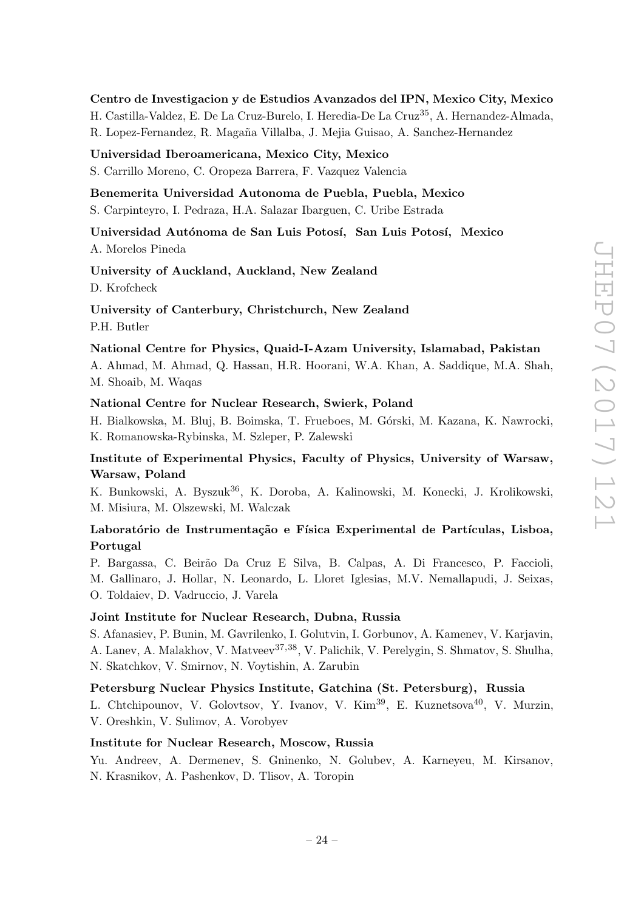#### Centro de Investigacion y de Estudios Avanzados del IPN, Mexico City, Mexico

H. Castilla-Valdez, E. De La Cruz-Burelo, I. Heredia-De La Cruz<sup>35</sup>, A. Hernandez-Almada, R. Lopez-Fernandez, R. Magaña Villalba, J. Mejia Guisao, A. Sanchez-Hernandez

#### Universidad Iberoamericana, Mexico City, Mexico

S. Carrillo Moreno, C. Oropeza Barrera, F. Vazquez Valencia

#### Benemerita Universidad Autonoma de Puebla, Puebla, Mexico

S. Carpinteyro, I. Pedraza, H.A. Salazar Ibarguen, C. Uribe Estrada

# Universidad Autónoma de San Luis Potosí, San Luis Potosí, Mexico

A. Morelos Pineda

## University of Auckland, Auckland, New Zealand

D. Krofcheck

University of Canterbury, Christchurch, New Zealand P.H. Butler

#### National Centre for Physics, Quaid-I-Azam University, Islamabad, Pakistan

A. Ahmad, M. Ahmad, Q. Hassan, H.R. Hoorani, W.A. Khan, A. Saddique, M.A. Shah, M. Shoaib, M. Waqas

#### National Centre for Nuclear Research, Swierk, Poland

H. Bialkowska, M. Bluj, B. Boimska, T. Frueboes, M. G´orski, M. Kazana, K. Nawrocki, K. Romanowska-Rybinska, M. Szleper, P. Zalewski

## Institute of Experimental Physics, Faculty of Physics, University of Warsaw, Warsaw, Poland

K. Bunkowski, A. Byszuk36, K. Doroba, A. Kalinowski, M. Konecki, J. Krolikowski, M. Misiura, M. Olszewski, M. Walczak

## Laboratório de Instrumentação e Física Experimental de Partículas, Lisboa, Portugal

P. Bargassa, C. Beirão Da Cruz E Silva, B. Calpas, A. Di Francesco, P. Faccioli, M. Gallinaro, J. Hollar, N. Leonardo, L. Lloret Iglesias, M.V. Nemallapudi, J. Seixas, O. Toldaiev, D. Vadruccio, J. Varela

## Joint Institute for Nuclear Research, Dubna, Russia

S. Afanasiev, P. Bunin, M. Gavrilenko, I. Golutvin, I. Gorbunov, A. Kamenev, V. Karjavin, A. Lanev, A. Malakhov, V. Matveev<sup>37,38</sup>, V. Palichik, V. Perelygin, S. Shmatov, S. Shulha, N. Skatchkov, V. Smirnov, N. Voytishin, A. Zarubin

#### Petersburg Nuclear Physics Institute, Gatchina (St. Petersburg), Russia

L. Chtchipounov, V. Golovtsov, Y. Ivanov, V. Kim<sup>39</sup>, E. Kuznetsova<sup>40</sup>, V. Murzin, V. Oreshkin, V. Sulimov, A. Vorobyev

## Institute for Nuclear Research, Moscow, Russia

Yu. Andreev, A. Dermenev, S. Gninenko, N. Golubev, A. Karneyeu, M. Kirsanov, N. Krasnikov, A. Pashenkov, D. Tlisov, A. Toropin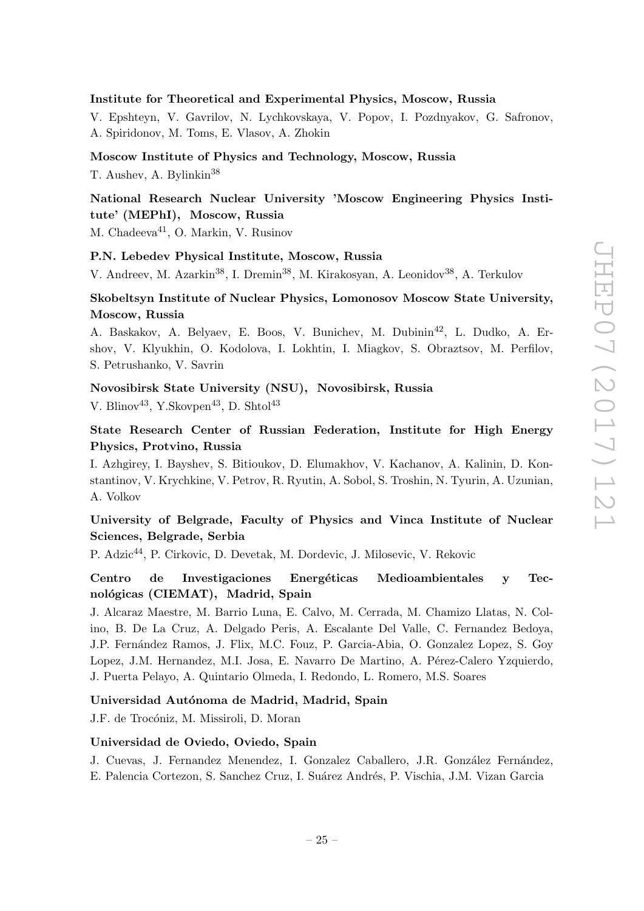#### Institute for Theoretical and Experimental Physics, Moscow, Russia

V. Epshteyn, V. Gavrilov, N. Lychkovskaya, V. Popov, I. Pozdnyakov, G. Safronov, A. Spiridonov, M. Toms, E. Vlasov, A. Zhokin

#### Moscow Institute of Physics and Technology, Moscow, Russia

T. Aushev, A. Bylinkin<sup>38</sup>

## National Research Nuclear University 'Moscow Engineering Physics Institute' (MEPhI), Moscow, Russia

M. Chadeeva<sup>41</sup>, O. Markin, V. Rusinov

## P.N. Lebedev Physical Institute, Moscow, Russia

V. Andreev, M. Azarkin<sup>38</sup>, I. Dremin<sup>38</sup>, M. Kirakosyan, A. Leonidov<sup>38</sup>, A. Terkulov

## Skobeltsyn Institute of Nuclear Physics, Lomonosov Moscow State University, Moscow, Russia

A. Baskakov, A. Belyaev, E. Boos, V. Bunichev, M. Dubinin<sup>42</sup>, L. Dudko, A. Ershov, V. Klyukhin, O. Kodolova, I. Lokhtin, I. Miagkov, S. Obraztsov, M. Perfilov, S. Petrushanko, V. Savrin

#### Novosibirsk State University (NSU), Novosibirsk, Russia

V. Blinov<sup>43</sup>, Y.Skovpen<sup>43</sup>, D. Shtol<sup>43</sup>

## State Research Center of Russian Federation, Institute for High Energy Physics, Protvino, Russia

I. Azhgirey, I. Bayshev, S. Bitioukov, D. Elumakhov, V. Kachanov, A. Kalinin, D. Konstantinov, V. Krychkine, V. Petrov, R. Ryutin, A. Sobol, S. Troshin, N. Tyurin, A. Uzunian, A. Volkov

## University of Belgrade, Faculty of Physics and Vinca Institute of Nuclear Sciences, Belgrade, Serbia

P. Adzic<sup>44</sup>, P. Cirkovic, D. Devetak, M. Dordevic, J. Milosevic, V. Rekovic

## Centro de Investigaciones Energéticas Medioambientales y Tecnológicas (CIEMAT), Madrid, Spain

J. Alcaraz Maestre, M. Barrio Luna, E. Calvo, M. Cerrada, M. Chamizo Llatas, N. Colino, B. De La Cruz, A. Delgado Peris, A. Escalante Del Valle, C. Fernandez Bedoya, J.P. Fernández Ramos, J. Flix, M.C. Fouz, P. Garcia-Abia, O. Gonzalez Lopez, S. Goy Lopez, J.M. Hernandez, M.I. Josa, E. Navarro De Martino, A. Pérez-Calero Yzquierdo, J. Puerta Pelayo, A. Quintario Olmeda, I. Redondo, L. Romero, M.S. Soares

#### Universidad Autónoma de Madrid, Madrid, Spain

J.F. de Trocóniz, M. Missiroli, D. Moran

### Universidad de Oviedo, Oviedo, Spain

J. Cuevas, J. Fernandez Menendez, I. Gonzalez Caballero, J.R. González Fernández, E. Palencia Cortezon, S. Sanchez Cruz, I. Suárez Andrés, P. Vischia, J.M. Vizan Garcia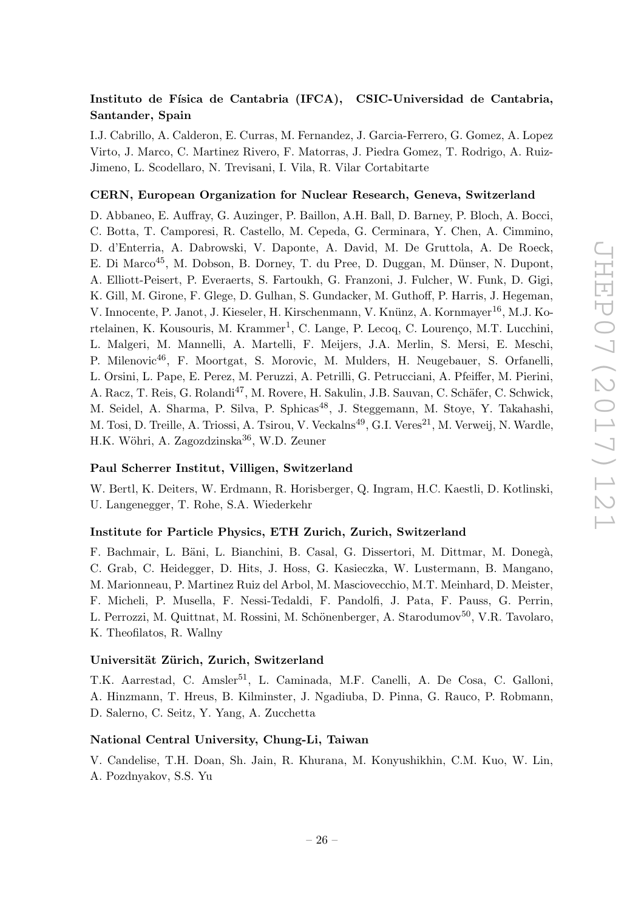## Instituto de Física de Cantabria (IFCA), CSIC-Universidad de Cantabria, Santander, Spain

I.J. Cabrillo, A. Calderon, E. Curras, M. Fernandez, J. Garcia-Ferrero, G. Gomez, A. Lopez Virto, J. Marco, C. Martinez Rivero, F. Matorras, J. Piedra Gomez, T. Rodrigo, A. Ruiz-Jimeno, L. Scodellaro, N. Trevisani, I. Vila, R. Vilar Cortabitarte

## CERN, European Organization for Nuclear Research, Geneva, Switzerland

D. Abbaneo, E. Auffray, G. Auzinger, P. Baillon, A.H. Ball, D. Barney, P. Bloch, A. Bocci, C. Botta, T. Camporesi, R. Castello, M. Cepeda, G. Cerminara, Y. Chen, A. Cimmino, D. d'Enterria, A. Dabrowski, V. Daponte, A. David, M. De Gruttola, A. De Roeck, E. Di Marco<sup>45</sup>, M. Dobson, B. Dorney, T. du Pree, D. Duggan, M. Dünser, N. Dupont, A. Elliott-Peisert, P. Everaerts, S. Fartoukh, G. Franzoni, J. Fulcher, W. Funk, D. Gigi, K. Gill, M. Girone, F. Glege, D. Gulhan, S. Gundacker, M. Guthoff, P. Harris, J. Hegeman, V. Innocente, P. Janot, J. Kieseler, H. Kirschenmann, V. Knünz, A. Kornmayer<sup>16</sup>, M.J. Kortelainen, K. Kousouris, M. Krammer<sup>1</sup>, C. Lange, P. Lecoq, C. Lourenço, M.T. Lucchini, L. Malgeri, M. Mannelli, A. Martelli, F. Meijers, J.A. Merlin, S. Mersi, E. Meschi, P. Milenovic<sup>46</sup>, F. Moortgat, S. Morovic, M. Mulders, H. Neugebauer, S. Orfanelli, L. Orsini, L. Pape, E. Perez, M. Peruzzi, A. Petrilli, G. Petrucciani, A. Pfeiffer, M. Pierini, A. Racz, T. Reis, G. Rolandi<sup>47</sup>, M. Rovere, H. Sakulin, J.B. Sauvan, C. Schäfer, C. Schwick, M. Seidel, A. Sharma, P. Silva, P. Sphicas<sup>48</sup>, J. Steggemann, M. Stoye, Y. Takahashi, M. Tosi, D. Treille, A. Triossi, A. Tsirou, V. Veckalns<sup>49</sup>, G.I. Veres<sup>21</sup>, M. Verweij, N. Wardle, H.K. Wöhri, A. Zagozdzinska<sup>36</sup>, W.D. Zeuner

## Paul Scherrer Institut, Villigen, Switzerland

W. Bertl, K. Deiters, W. Erdmann, R. Horisberger, Q. Ingram, H.C. Kaestli, D. Kotlinski, U. Langenegger, T. Rohe, S.A. Wiederkehr

#### Institute for Particle Physics, ETH Zurich, Zurich, Switzerland

F. Bachmair, L. Bäni, L. Bianchini, B. Casal, G. Dissertori, M. Dittmar, M. Donegà, C. Grab, C. Heidegger, D. Hits, J. Hoss, G. Kasieczka, W. Lustermann, B. Mangano, M. Marionneau, P. Martinez Ruiz del Arbol, M. Masciovecchio, M.T. Meinhard, D. Meister, F. Micheli, P. Musella, F. Nessi-Tedaldi, F. Pandolfi, J. Pata, F. Pauss, G. Perrin, L. Perrozzi, M. Quittnat, M. Rossini, M. Schönenberger, A. Starodumov<sup>50</sup>, V.R. Tavolaro, K. Theofilatos, R. Wallny

## Universität Zürich, Zurich, Switzerland

T.K. Aarrestad, C. Amsler<sup>51</sup>, L. Caminada, M.F. Canelli, A. De Cosa, C. Galloni, A. Hinzmann, T. Hreus, B. Kilminster, J. Ngadiuba, D. Pinna, G. Rauco, P. Robmann, D. Salerno, C. Seitz, Y. Yang, A. Zucchetta

#### National Central University, Chung-Li, Taiwan

V. Candelise, T.H. Doan, Sh. Jain, R. Khurana, M. Konyushikhin, C.M. Kuo, W. Lin, A. Pozdnyakov, S.S. Yu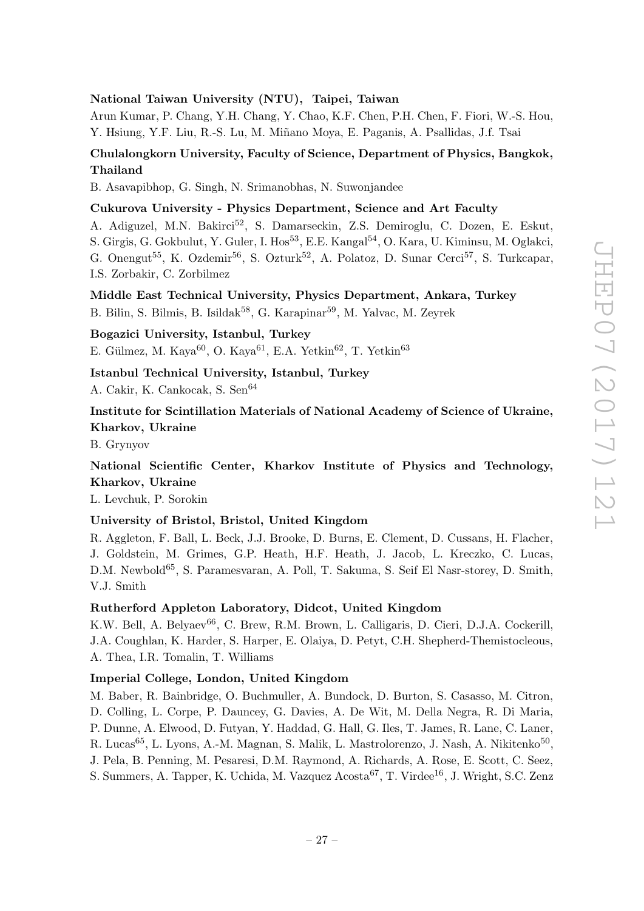### National Taiwan University (NTU), Taipei, Taiwan

Arun Kumar, P. Chang, Y.H. Chang, Y. Chao, K.F. Chen, P.H. Chen, F. Fiori, W.-S. Hou, Y. Hsiung, Y.F. Liu, R.-S. Lu, M. Miñano Moya, E. Paganis, A. Psallidas, J.f. Tsai

## Chulalongkorn University, Faculty of Science, Department of Physics, Bangkok, Thailand

B. Asavapibhop, G. Singh, N. Srimanobhas, N. Suwonjandee

### Cukurova University - Physics Department, Science and Art Faculty

A. Adiguzel, M.N. Bakirci<sup>52</sup>, S. Damarseckin, Z.S. Demiroglu, C. Dozen, E. Eskut, S. Girgis, G. Gokbulut, Y. Guler, I. Hos<sup>53</sup>, E.E. Kangal<sup>54</sup>, O. Kara, U. Kiminsu, M. Oglakci, G. Onengut<sup>55</sup>, K. Ozdemir<sup>56</sup>, S. Ozturk<sup>52</sup>, A. Polatoz, D. Sunar Cerci<sup>57</sup>, S. Turkcapar, I.S. Zorbakir, C. Zorbilmez

## Middle East Technical University, Physics Department, Ankara, Turkey

B. Bilin, S. Bilmis, B. Isildak<sup>58</sup>, G. Karapinar<sup>59</sup>, M. Yalvac, M. Zeyrek

Bogazici University, Istanbul, Turkey E. Gülmez, M. Kaya<sup>60</sup>, O. Kaya<sup>61</sup>, E.A. Yetkin<sup>62</sup>, T. Yetkin<sup>63</sup>

Istanbul Technical University, Istanbul, Turkey

A. Cakir, K. Cankocak, S. Sen<sup>64</sup>

Institute for Scintillation Materials of National Academy of Science of Ukraine, Kharkov, Ukraine

B. Grynyov

## National Scientific Center, Kharkov Institute of Physics and Technology, Kharkov, Ukraine

L. Levchuk, P. Sorokin

#### University of Bristol, Bristol, United Kingdom

R. Aggleton, F. Ball, L. Beck, J.J. Brooke, D. Burns, E. Clement, D. Cussans, H. Flacher, J. Goldstein, M. Grimes, G.P. Heath, H.F. Heath, J. Jacob, L. Kreczko, C. Lucas, D.M. Newbold<sup>65</sup>, S. Paramesvaran, A. Poll, T. Sakuma, S. Seif El Nasr-storey, D. Smith, V.J. Smith

## Rutherford Appleton Laboratory, Didcot, United Kingdom

K.W. Bell, A. Belyaev<sup>66</sup>, C. Brew, R.M. Brown, L. Calligaris, D. Cieri, D.J.A. Cockerill, J.A. Coughlan, K. Harder, S. Harper, E. Olaiya, D. Petyt, C.H. Shepherd-Themistocleous, A. Thea, I.R. Tomalin, T. Williams

## Imperial College, London, United Kingdom

M. Baber, R. Bainbridge, O. Buchmuller, A. Bundock, D. Burton, S. Casasso, M. Citron, D. Colling, L. Corpe, P. Dauncey, G. Davies, A. De Wit, M. Della Negra, R. Di Maria, P. Dunne, A. Elwood, D. Futyan, Y. Haddad, G. Hall, G. Iles, T. James, R. Lane, C. Laner, R. Lucas<sup>65</sup>, L. Lyons, A.-M. Magnan, S. Malik, L. Mastrolorenzo, J. Nash, A. Nikitenko<sup>50</sup>, J. Pela, B. Penning, M. Pesaresi, D.M. Raymond, A. Richards, A. Rose, E. Scott, C. Seez, S. Summers, A. Tapper, K. Uchida, M. Vazquez Acosta<sup>67</sup>, T. Virdee<sup>16</sup>, J. Wright, S.C. Zenz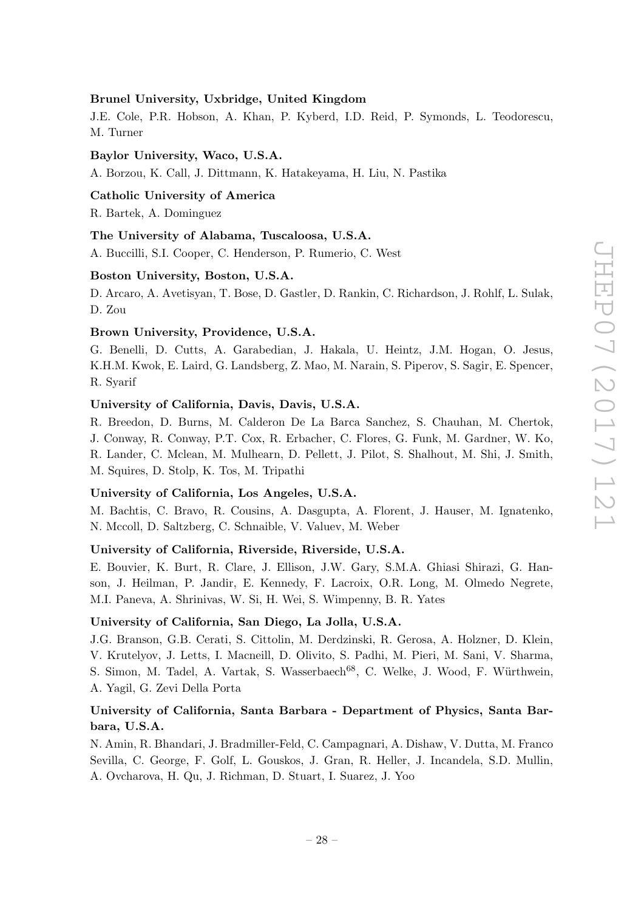### Brunel University, Uxbridge, United Kingdom

J.E. Cole, P.R. Hobson, A. Khan, P. Kyberd, I.D. Reid, P. Symonds, L. Teodorescu, M. Turner

#### Baylor University, Waco, U.S.A.

A. Borzou, K. Call, J. Dittmann, K. Hatakeyama, H. Liu, N. Pastika

#### Catholic University of America

R. Bartek, A. Dominguez

## The University of Alabama, Tuscaloosa, U.S.A.

A. Buccilli, S.I. Cooper, C. Henderson, P. Rumerio, C. West

#### Boston University, Boston, U.S.A.

D. Arcaro, A. Avetisyan, T. Bose, D. Gastler, D. Rankin, C. Richardson, J. Rohlf, L. Sulak, D. Zou

#### Brown University, Providence, U.S.A.

G. Benelli, D. Cutts, A. Garabedian, J. Hakala, U. Heintz, J.M. Hogan, O. Jesus, K.H.M. Kwok, E. Laird, G. Landsberg, Z. Mao, M. Narain, S. Piperov, S. Sagir, E. Spencer, R. Syarif

#### University of California, Davis, Davis, U.S.A.

R. Breedon, D. Burns, M. Calderon De La Barca Sanchez, S. Chauhan, M. Chertok, J. Conway, R. Conway, P.T. Cox, R. Erbacher, C. Flores, G. Funk, M. Gardner, W. Ko, R. Lander, C. Mclean, M. Mulhearn, D. Pellett, J. Pilot, S. Shalhout, M. Shi, J. Smith, M. Squires, D. Stolp, K. Tos, M. Tripathi

### University of California, Los Angeles, U.S.A.

M. Bachtis, C. Bravo, R. Cousins, A. Dasgupta, A. Florent, J. Hauser, M. Ignatenko, N. Mccoll, D. Saltzberg, C. Schnaible, V. Valuev, M. Weber

### University of California, Riverside, Riverside, U.S.A.

E. Bouvier, K. Burt, R. Clare, J. Ellison, J.W. Gary, S.M.A. Ghiasi Shirazi, G. Hanson, J. Heilman, P. Jandir, E. Kennedy, F. Lacroix, O.R. Long, M. Olmedo Negrete, M.I. Paneva, A. Shrinivas, W. Si, H. Wei, S. Wimpenny, B. R. Yates

### University of California, San Diego, La Jolla, U.S.A.

J.G. Branson, G.B. Cerati, S. Cittolin, M. Derdzinski, R. Gerosa, A. Holzner, D. Klein, V. Krutelyov, J. Letts, I. Macneill, D. Olivito, S. Padhi, M. Pieri, M. Sani, V. Sharma, S. Simon, M. Tadel, A. Vartak, S. Wasserbaech<sup>68</sup>, C. Welke, J. Wood, F. Würthwein, A. Yagil, G. Zevi Della Porta

## University of California, Santa Barbara - Department of Physics, Santa Barbara, U.S.A.

N. Amin, R. Bhandari, J. Bradmiller-Feld, C. Campagnari, A. Dishaw, V. Dutta, M. Franco Sevilla, C. George, F. Golf, L. Gouskos, J. Gran, R. Heller, J. Incandela, S.D. Mullin, A. Ovcharova, H. Qu, J. Richman, D. Stuart, I. Suarez, J. Yoo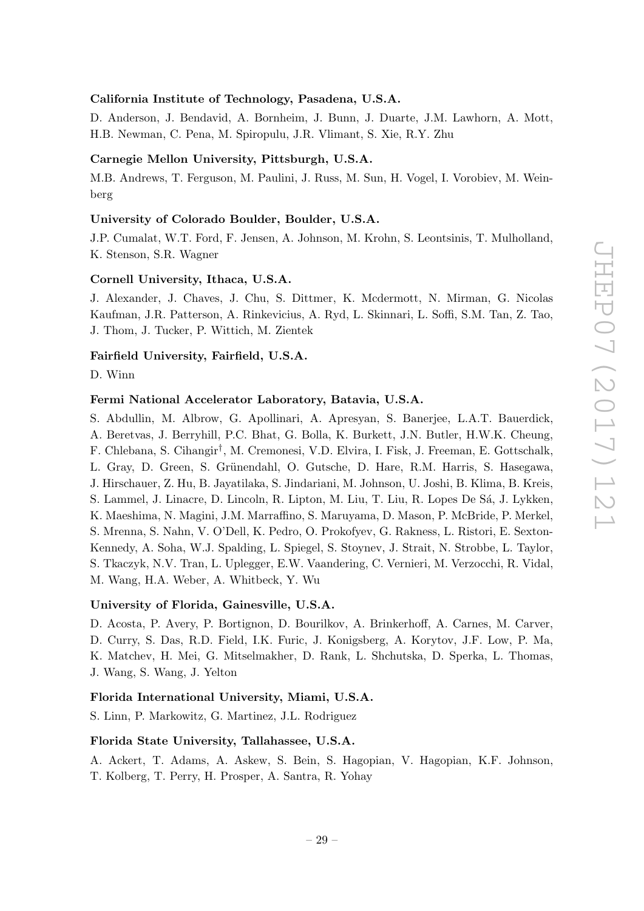## California Institute of Technology, Pasadena, U.S.A.

D. Anderson, J. Bendavid, A. Bornheim, J. Bunn, J. Duarte, J.M. Lawhorn, A. Mott, H.B. Newman, C. Pena, M. Spiropulu, J.R. Vlimant, S. Xie, R.Y. Zhu

### Carnegie Mellon University, Pittsburgh, U.S.A.

M.B. Andrews, T. Ferguson, M. Paulini, J. Russ, M. Sun, H. Vogel, I. Vorobiev, M. Weinberg

### University of Colorado Boulder, Boulder, U.S.A.

J.P. Cumalat, W.T. Ford, F. Jensen, A. Johnson, M. Krohn, S. Leontsinis, T. Mulholland, K. Stenson, S.R. Wagner

### Cornell University, Ithaca, U.S.A.

J. Alexander, J. Chaves, J. Chu, S. Dittmer, K. Mcdermott, N. Mirman, G. Nicolas Kaufman, J.R. Patterson, A. Rinkevicius, A. Ryd, L. Skinnari, L. Soffi, S.M. Tan, Z. Tao, J. Thom, J. Tucker, P. Wittich, M. Zientek

#### Fairfield University, Fairfield, U.S.A.

D. Winn

#### Fermi National Accelerator Laboratory, Batavia, U.S.A.

S. Abdullin, M. Albrow, G. Apollinari, A. Apresyan, S. Banerjee, L.A.T. Bauerdick, A. Beretvas, J. Berryhill, P.C. Bhat, G. Bolla, K. Burkett, J.N. Butler, H.W.K. Cheung, F. Chlebana, S. Cihangir† , M. Cremonesi, V.D. Elvira, I. Fisk, J. Freeman, E. Gottschalk, L. Gray, D. Green, S. Grünendahl, O. Gutsche, D. Hare, R.M. Harris, S. Hasegawa, J. Hirschauer, Z. Hu, B. Jayatilaka, S. Jindariani, M. Johnson, U. Joshi, B. Klima, B. Kreis, S. Lammel, J. Linacre, D. Lincoln, R. Lipton, M. Liu, T. Liu, R. Lopes De Sá, J. Lykken, K. Maeshima, N. Magini, J.M. Marraffino, S. Maruyama, D. Mason, P. McBride, P. Merkel, S. Mrenna, S. Nahn, V. O'Dell, K. Pedro, O. Prokofyev, G. Rakness, L. Ristori, E. Sexton-Kennedy, A. Soha, W.J. Spalding, L. Spiegel, S. Stoynev, J. Strait, N. Strobbe, L. Taylor, S. Tkaczyk, N.V. Tran, L. Uplegger, E.W. Vaandering, C. Vernieri, M. Verzocchi, R. Vidal, M. Wang, H.A. Weber, A. Whitbeck, Y. Wu

#### University of Florida, Gainesville, U.S.A.

D. Acosta, P. Avery, P. Bortignon, D. Bourilkov, A. Brinkerhoff, A. Carnes, M. Carver, D. Curry, S. Das, R.D. Field, I.K. Furic, J. Konigsberg, A. Korytov, J.F. Low, P. Ma, K. Matchev, H. Mei, G. Mitselmakher, D. Rank, L. Shchutska, D. Sperka, L. Thomas, J. Wang, S. Wang, J. Yelton

#### Florida International University, Miami, U.S.A.

S. Linn, P. Markowitz, G. Martinez, J.L. Rodriguez

#### Florida State University, Tallahassee, U.S.A.

A. Ackert, T. Adams, A. Askew, S. Bein, S. Hagopian, V. Hagopian, K.F. Johnson, T. Kolberg, T. Perry, H. Prosper, A. Santra, R. Yohay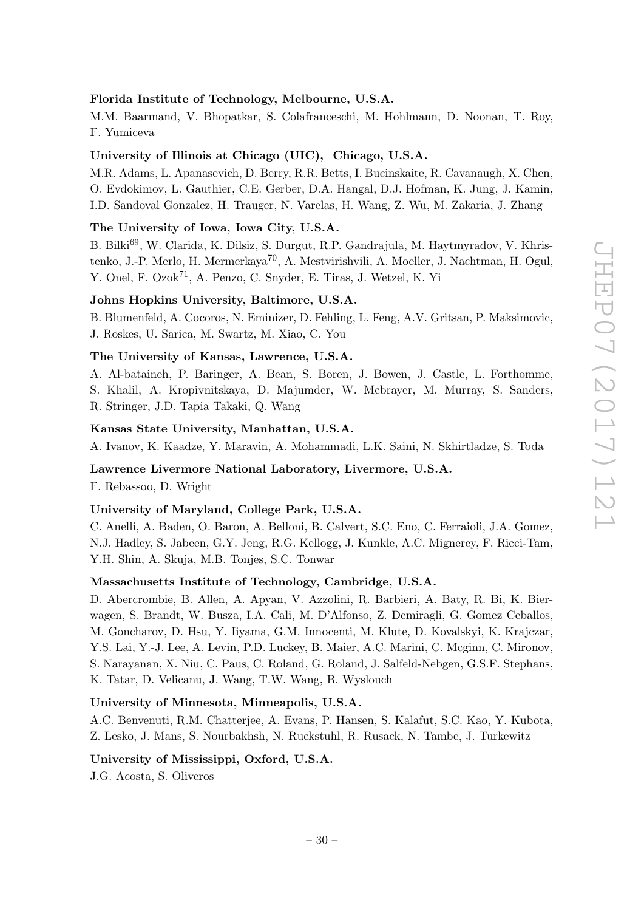## Florida Institute of Technology, Melbourne, U.S.A.

M.M. Baarmand, V. Bhopatkar, S. Colafranceschi, M. Hohlmann, D. Noonan, T. Roy, F. Yumiceva

#### University of Illinois at Chicago (UIC), Chicago, U.S.A.

M.R. Adams, L. Apanasevich, D. Berry, R.R. Betts, I. Bucinskaite, R. Cavanaugh, X. Chen, O. Evdokimov, L. Gauthier, C.E. Gerber, D.A. Hangal, D.J. Hofman, K. Jung, J. Kamin, I.D. Sandoval Gonzalez, H. Trauger, N. Varelas, H. Wang, Z. Wu, M. Zakaria, J. Zhang

## The University of Iowa, Iowa City, U.S.A.

B. Bilki69, W. Clarida, K. Dilsiz, S. Durgut, R.P. Gandrajula, M. Haytmyradov, V. Khristenko, J.-P. Merlo, H. Mermerkaya<sup>70</sup>, A. Mestvirishvili, A. Moeller, J. Nachtman, H. Ogul, Y. Onel, F. Ozok<sup>71</sup>, A. Penzo, C. Snyder, E. Tiras, J. Wetzel, K. Yi

### Johns Hopkins University, Baltimore, U.S.A.

B. Blumenfeld, A. Cocoros, N. Eminizer, D. Fehling, L. Feng, A.V. Gritsan, P. Maksimovic, J. Roskes, U. Sarica, M. Swartz, M. Xiao, C. You

#### The University of Kansas, Lawrence, U.S.A.

A. Al-bataineh, P. Baringer, A. Bean, S. Boren, J. Bowen, J. Castle, L. Forthomme, S. Khalil, A. Kropivnitskaya, D. Majumder, W. Mcbrayer, M. Murray, S. Sanders, R. Stringer, J.D. Tapia Takaki, Q. Wang

#### Kansas State University, Manhattan, U.S.A.

A. Ivanov, K. Kaadze, Y. Maravin, A. Mohammadi, L.K. Saini, N. Skhirtladze, S. Toda

### Lawrence Livermore National Laboratory, Livermore, U.S.A.

F. Rebassoo, D. Wright

#### University of Maryland, College Park, U.S.A.

C. Anelli, A. Baden, O. Baron, A. Belloni, B. Calvert, S.C. Eno, C. Ferraioli, J.A. Gomez, N.J. Hadley, S. Jabeen, G.Y. Jeng, R.G. Kellogg, J. Kunkle, A.C. Mignerey, F. Ricci-Tam, Y.H. Shin, A. Skuja, M.B. Tonjes, S.C. Tonwar

### Massachusetts Institute of Technology, Cambridge, U.S.A.

D. Abercrombie, B. Allen, A. Apyan, V. Azzolini, R. Barbieri, A. Baty, R. Bi, K. Bierwagen, S. Brandt, W. Busza, I.A. Cali, M. D'Alfonso, Z. Demiragli, G. Gomez Ceballos, M. Goncharov, D. Hsu, Y. Iiyama, G.M. Innocenti, M. Klute, D. Kovalskyi, K. Krajczar, Y.S. Lai, Y.-J. Lee, A. Levin, P.D. Luckey, B. Maier, A.C. Marini, C. Mcginn, C. Mironov, S. Narayanan, X. Niu, C. Paus, C. Roland, G. Roland, J. Salfeld-Nebgen, G.S.F. Stephans, K. Tatar, D. Velicanu, J. Wang, T.W. Wang, B. Wyslouch

## University of Minnesota, Minneapolis, U.S.A.

A.C. Benvenuti, R.M. Chatterjee, A. Evans, P. Hansen, S. Kalafut, S.C. Kao, Y. Kubota, Z. Lesko, J. Mans, S. Nourbakhsh, N. Ruckstuhl, R. Rusack, N. Tambe, J. Turkewitz

#### University of Mississippi, Oxford, U.S.A.

J.G. Acosta, S. Oliveros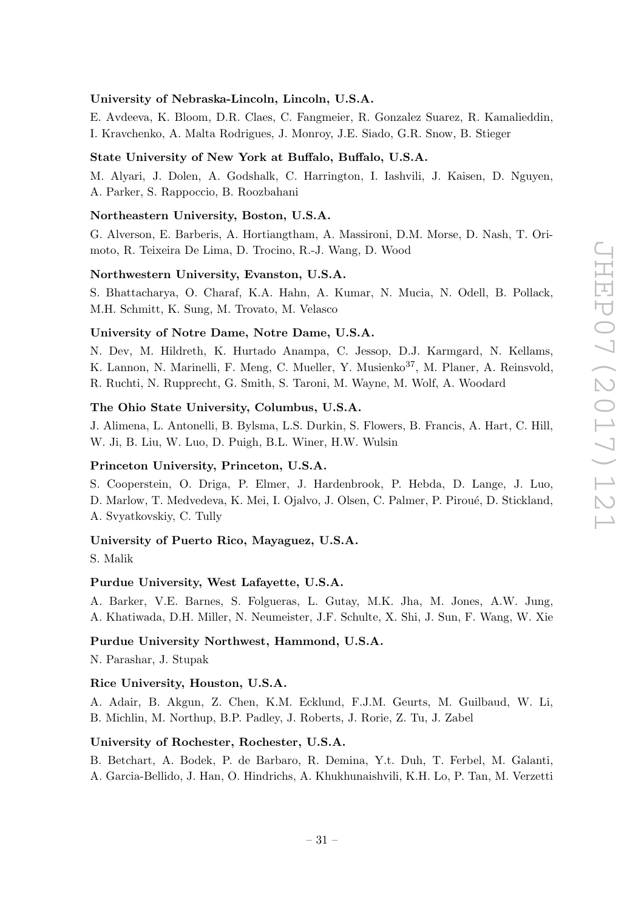#### University of Nebraska-Lincoln, Lincoln, U.S.A.

E. Avdeeva, K. Bloom, D.R. Claes, C. Fangmeier, R. Gonzalez Suarez, R. Kamalieddin, I. Kravchenko, A. Malta Rodrigues, J. Monroy, J.E. Siado, G.R. Snow, B. Stieger

#### State University of New York at Buffalo, Buffalo, U.S.A.

M. Alyari, J. Dolen, A. Godshalk, C. Harrington, I. Iashvili, J. Kaisen, D. Nguyen, A. Parker, S. Rappoccio, B. Roozbahani

#### Northeastern University, Boston, U.S.A.

G. Alverson, E. Barberis, A. Hortiangtham, A. Massironi, D.M. Morse, D. Nash, T. Orimoto, R. Teixeira De Lima, D. Trocino, R.-J. Wang, D. Wood

#### Northwestern University, Evanston, U.S.A.

S. Bhattacharya, O. Charaf, K.A. Hahn, A. Kumar, N. Mucia, N. Odell, B. Pollack, M.H. Schmitt, K. Sung, M. Trovato, M. Velasco

#### University of Notre Dame, Notre Dame, U.S.A.

N. Dev, M. Hildreth, K. Hurtado Anampa, C. Jessop, D.J. Karmgard, N. Kellams, K. Lannon, N. Marinelli, F. Meng, C. Mueller, Y. Musienko<sup>37</sup>, M. Planer, A. Reinsvold, R. Ruchti, N. Rupprecht, G. Smith, S. Taroni, M. Wayne, M. Wolf, A. Woodard

### The Ohio State University, Columbus, U.S.A.

J. Alimena, L. Antonelli, B. Bylsma, L.S. Durkin, S. Flowers, B. Francis, A. Hart, C. Hill, W. Ji, B. Liu, W. Luo, D. Puigh, B.L. Winer, H.W. Wulsin

### Princeton University, Princeton, U.S.A.

S. Cooperstein, O. Driga, P. Elmer, J. Hardenbrook, P. Hebda, D. Lange, J. Luo, D. Marlow, T. Medvedeva, K. Mei, I. Ojalvo, J. Olsen, C. Palmer, P. Piroué, D. Stickland, A. Svyatkovskiy, C. Tully

#### University of Puerto Rico, Mayaguez, U.S.A.

S. Malik

#### Purdue University, West Lafayette, U.S.A.

A. Barker, V.E. Barnes, S. Folgueras, L. Gutay, M.K. Jha, M. Jones, A.W. Jung, A. Khatiwada, D.H. Miller, N. Neumeister, J.F. Schulte, X. Shi, J. Sun, F. Wang, W. Xie

#### Purdue University Northwest, Hammond, U.S.A.

N. Parashar, J. Stupak

### Rice University, Houston, U.S.A.

A. Adair, B. Akgun, Z. Chen, K.M. Ecklund, F.J.M. Geurts, M. Guilbaud, W. Li, B. Michlin, M. Northup, B.P. Padley, J. Roberts, J. Rorie, Z. Tu, J. Zabel

## University of Rochester, Rochester, U.S.A.

B. Betchart, A. Bodek, P. de Barbaro, R. Demina, Y.t. Duh, T. Ferbel, M. Galanti, A. Garcia-Bellido, J. Han, O. Hindrichs, A. Khukhunaishvili, K.H. Lo, P. Tan, M. Verzetti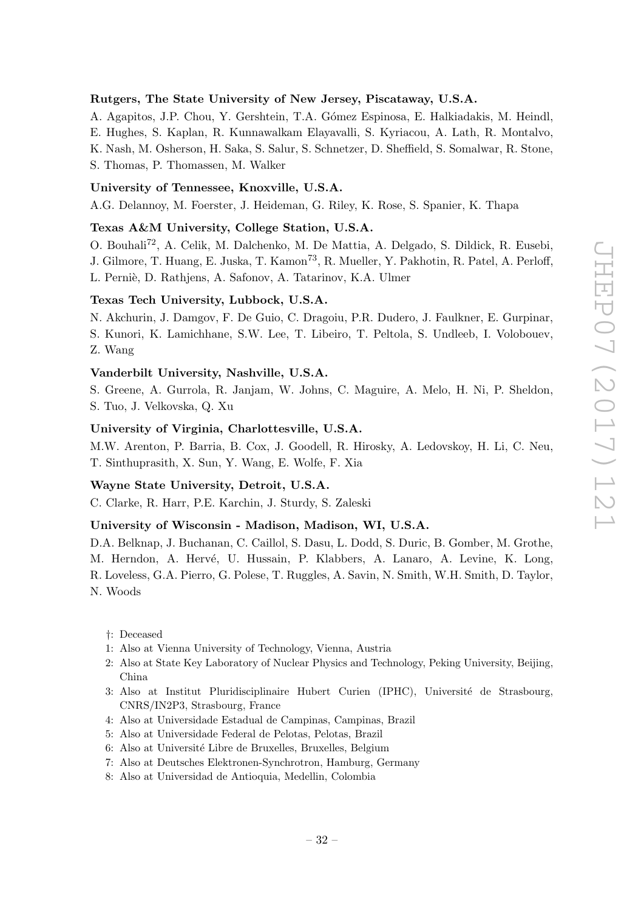### Rutgers, The State University of New Jersey, Piscataway, U.S.A.

A. Agapitos, J.P. Chou, Y. Gershtein, T.A. G´omez Espinosa, E. Halkiadakis, M. Heindl,

E. Hughes, S. Kaplan, R. Kunnawalkam Elayavalli, S. Kyriacou, A. Lath, R. Montalvo,

K. Nash, M. Osherson, H. Saka, S. Salur, S. Schnetzer, D. Sheffield, S. Somalwar, R. Stone,

S. Thomas, P. Thomassen, M. Walker

### University of Tennessee, Knoxville, U.S.A.

A.G. Delannoy, M. Foerster, J. Heideman, G. Riley, K. Rose, S. Spanier, K. Thapa

## Texas A&M University, College Station, U.S.A.

O. Bouhali72, A. Celik, M. Dalchenko, M. De Mattia, A. Delgado, S. Dildick, R. Eusebi, J. Gilmore, T. Huang, E. Juska, T. Kamon<sup>73</sup>, R. Mueller, Y. Pakhotin, R. Patel, A. Perloff, L. Perniè, D. Rathjens, A. Safonov, A. Tatarinov, K.A. Ulmer

#### Texas Tech University, Lubbock, U.S.A.

N. Akchurin, J. Damgov, F. De Guio, C. Dragoiu, P.R. Dudero, J. Faulkner, E. Gurpinar,

S. Kunori, K. Lamichhane, S.W. Lee, T. Libeiro, T. Peltola, S. Undleeb, I. Volobouev, Z. Wang

## Vanderbilt University, Nashville, U.S.A.

S. Greene, A. Gurrola, R. Janjam, W. Johns, C. Maguire, A. Melo, H. Ni, P. Sheldon, S. Tuo, J. Velkovska, Q. Xu

#### University of Virginia, Charlottesville, U.S.A.

M.W. Arenton, P. Barria, B. Cox, J. Goodell, R. Hirosky, A. Ledovskoy, H. Li, C. Neu, T. Sinthuprasith, X. Sun, Y. Wang, E. Wolfe, F. Xia

#### Wayne State University, Detroit, U.S.A.

C. Clarke, R. Harr, P.E. Karchin, J. Sturdy, S. Zaleski

## University of Wisconsin - Madison, Madison, WI, U.S.A.

D.A. Belknap, J. Buchanan, C. Caillol, S. Dasu, L. Dodd, S. Duric, B. Gomber, M. Grothe, M. Herndon, A. Hervé, U. Hussain, P. Klabbers, A. Lanaro, A. Levine, K. Long, R. Loveless, G.A. Pierro, G. Polese, T. Ruggles, A. Savin, N. Smith, W.H. Smith, D. Taylor, N. Woods

- †: Deceased
- 1: Also at Vienna University of Technology, Vienna, Austria
- 2: Also at State Key Laboratory of Nuclear Physics and Technology, Peking University, Beijing, China
- 3: Also at Institut Pluridisciplinaire Hubert Curien (IPHC), Université de Strasbourg, CNRS/IN2P3, Strasbourg, France
- 4: Also at Universidade Estadual de Campinas, Campinas, Brazil
- 5: Also at Universidade Federal de Pelotas, Pelotas, Brazil
- 6: Also at Université Libre de Bruxelles, Bruxelles, Belgium
- 7: Also at Deutsches Elektronen-Synchrotron, Hamburg, Germany
- 8: Also at Universidad de Antioquia, Medellin, Colombia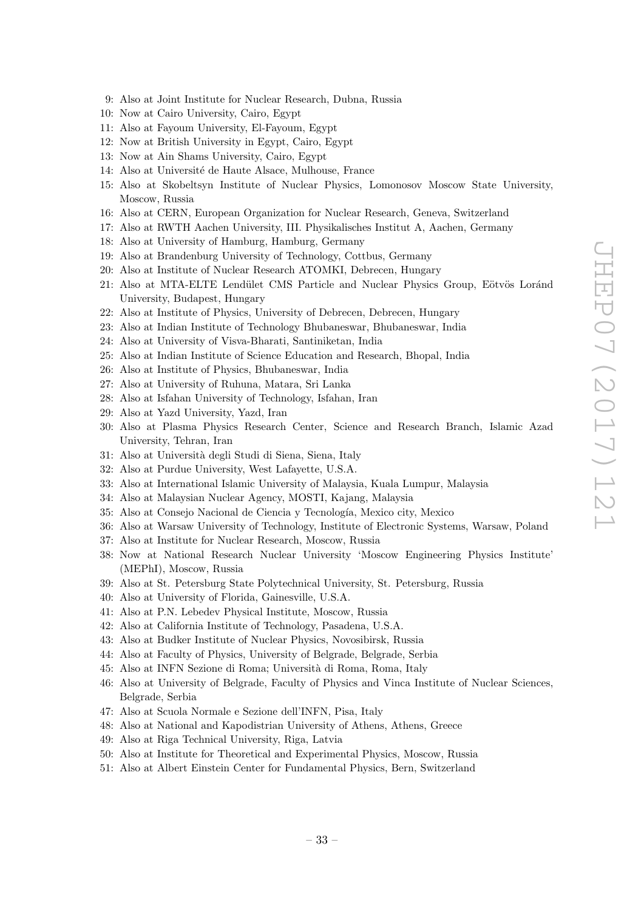- 9: Also at Joint Institute for Nuclear Research, Dubna, Russia
- 10: Now at Cairo University, Cairo, Egypt
- 11: Also at Fayoum University, El-Fayoum, Egypt
- 12: Now at British University in Egypt, Cairo, Egypt
- 13: Now at Ain Shams University, Cairo, Egypt
- 14: Also at Université de Haute Alsace, Mulhouse, France
- 15: Also at Skobeltsyn Institute of Nuclear Physics, Lomonosov Moscow State University, Moscow, Russia
- 16: Also at CERN, European Organization for Nuclear Research, Geneva, Switzerland
- 17: Also at RWTH Aachen University, III. Physikalisches Institut A, Aachen, Germany
- 18: Also at University of Hamburg, Hamburg, Germany
- 19: Also at Brandenburg University of Technology, Cottbus, Germany
- 20: Also at Institute of Nuclear Research ATOMKI, Debrecen, Hungary
- 21: Also at MTA-ELTE Lendület CMS Particle and Nuclear Physics Group, Eötvös Loránd University, Budapest, Hungary
- 22: Also at Institute of Physics, University of Debrecen, Debrecen, Hungary
- 23: Also at Indian Institute of Technology Bhubaneswar, Bhubaneswar, India
- 24: Also at University of Visva-Bharati, Santiniketan, India
- 25: Also at Indian Institute of Science Education and Research, Bhopal, India
- 26: Also at Institute of Physics, Bhubaneswar, India
- 27: Also at University of Ruhuna, Matara, Sri Lanka
- 28: Also at Isfahan University of Technology, Isfahan, Iran
- 29: Also at Yazd University, Yazd, Iran
- 30: Also at Plasma Physics Research Center, Science and Research Branch, Islamic Azad University, Tehran, Iran
- 31: Also at Università degli Studi di Siena, Siena, Italy
- 32: Also at Purdue University, West Lafayette, U.S.A.
- 33: Also at International Islamic University of Malaysia, Kuala Lumpur, Malaysia
- 34: Also at Malaysian Nuclear Agency, MOSTI, Kajang, Malaysia
- 35: Also at Consejo Nacional de Ciencia y Tecnología, Mexico city, Mexico
- 36: Also at Warsaw University of Technology, Institute of Electronic Systems, Warsaw, Poland
- 37: Also at Institute for Nuclear Research, Moscow, Russia
- 38: Now at National Research Nuclear University 'Moscow Engineering Physics Institute' (MEPhI), Moscow, Russia
- 39: Also at St. Petersburg State Polytechnical University, St. Petersburg, Russia
- 40: Also at University of Florida, Gainesville, U.S.A.
- 41: Also at P.N. Lebedev Physical Institute, Moscow, Russia
- 42: Also at California Institute of Technology, Pasadena, U.S.A.
- 43: Also at Budker Institute of Nuclear Physics, Novosibirsk, Russia
- 44: Also at Faculty of Physics, University of Belgrade, Belgrade, Serbia
- 45: Also at INFN Sezione di Roma; Università di Roma, Roma, Italy
- 46: Also at University of Belgrade, Faculty of Physics and Vinca Institute of Nuclear Sciences, Belgrade, Serbia
- 47: Also at Scuola Normale e Sezione dell'INFN, Pisa, Italy
- 48: Also at National and Kapodistrian University of Athens, Athens, Greece
- 49: Also at Riga Technical University, Riga, Latvia
- 50: Also at Institute for Theoretical and Experimental Physics, Moscow, Russia
- 51: Also at Albert Einstein Center for Fundamental Physics, Bern, Switzerland